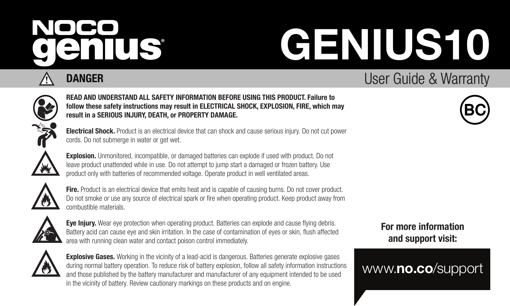# NOCO enius

# GENIUS10



# DANGER

# User Guide & Warranty READ AND UNDERSTAND ALL SAFETY INFORMATION BEFORE USING THIS PRODUCT. Failure to follow these safety instructions may result in ELECTRICAL SHOCK, EXPLOSION, FIRE, which may



Electrical Shock. Product is an electrical device that can shock and cause serious injury. Do not cut power cords. Do not submerge in water or get wet.

result in a SERIOUS INJURY, DEATH, or PROPERTY DAMAGE.

₩

Explosion. Unmonitored, incompatible, or damaged batteries can explode if used with product. Do not leave product unattended while in use. Do not attempt to jump start a damaged or frozen battery. Use product only with batteries of recommended voltage. Operate product in well ventilated areas.



Fire. Product is an electrical device that emits heat and is capable of causing burns. Do not cover product. Do not smoke or use any source of electrical spark or fire when operating product. Keep product away from combustible materials.



Eye Injury. Wear eye protection when operating product. Batteries can explode and cause flying debris. Battery acid can cause eye and skin irritation. In the case of contamination of eyes or skin, flush affected area with running clean water and contact poison control immediately.



**Explosive Gases.** Working in the vicinity of a lead-acid is dangerous. Batteries generate explosive gases during normal battery operation. To reduce risk of battery explosion, follow all safety information instructions and those published by the battery manufacturer and manufacturer of any equipment intended to be used in the vicinity of battery. Review cautionary markings on these products and on engine.

For more information and support visit:

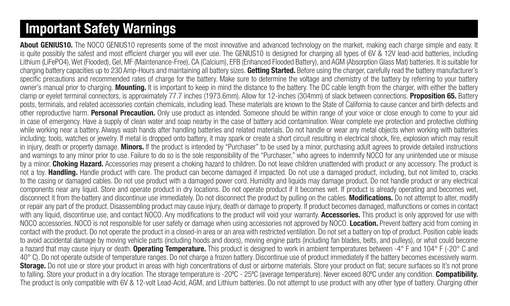# Important Safety Warnings

About GENIUS10. The NOCO GENIUS10 represents some of the most innovative and advanced technology on the market, making each charge simple and easy. It is quite possibly the safest and most efficient charger you will ever use. The GENIUS10 is designed for charging all types of 6V & 12V lead-acid batteries, including Lithium (LiFePO4), Wet (Flooded), Gel, MF (Maintenance-Free), CA (Calcium), EFB (Enhanced Flooded Battery), and AGM (Absorption Glass Mat) batteries. It is suitable for charging battery capacities up to 230 Amp-Hours and maintaining all battery sizes. Getting Started. Before using the charger, carefully read the battery manufacturer's specific precautions and recommended rates of charge for the battery. Make sure to determine the voltage and chemistry of the battery by referring to your battery owner's manual prior to charging. Mounting. It is important to keep in mind the distance to the battery. The DC cable length from the charger, with either the battery clamp or evelet terminal connectors, is approximately 77.7 inches (1973.6mm). Allow for 12-inches (304mm) of slack between connections. Proposition 65. Battery posts, terminals, and related accessories contain chemicals, including lead. These materials are known to the State of California to cause cancer and birth defects and other reproductive harm. Personal Precaution. Only use product as intended. Someone should be within range of your voice or close enough to come to your aid in case of emergency. Have a supply of clean water and soap nearby in the case of battery acid contamination. Wear complete eye protection and protective clothing while working near a battery. Always wash hands after handling batteries and related materials. Do not handle or wear any metal objects when working with batteries including; tools, watches or jewelry. If metal is dropped onto battery, it may spark or create a short circuit resulting in electrical shock, fire, explosion which may result in injury, death or property damage. Minors. If the product is intended by "Purchaser" to be used by a minor, purchasing adult agrees to provide detailed instructions and warnings to any minor prior to use. Failure to do so is the sole responsibility of the "Purchaser," who agrees to indemnify NOCO for any unintended use or misuse by a minor. Choking Hazard. Accessories may present a choking hazard to children. Do not leave children unattended with product or any accessory. The product is not a toy. Handling. Handle product with care. The product can become damaged if impacted. Do not use a damaged product, including, but not limited to, cracks to the casing or damaged cables. Do not use product with a damaged power cord. Humidity and liquids may damage product. Do not handle product or any electrical components near any liquid. Store and operate product in dry locations. Do not operate product if it becomes wet. If product is already operating and becomes wet, disconnect it from the-battery and discontinue use immediately. Do not disconnect the product by pulling on the cables. Modifications. Do not attempt to alter, modify or repair any part of the product. Disassembling product may cause injury, death or damage to property. If product becomes damaged, malfunctions or comes in contact with any liquid, discontinue use, and contact NOCO. Any modifications to the product will void your warranty. Accessories. This product is only approved for use with NOCO accessories. NOCO is not responsible for user safety or damage when using accessories not approved by NOCO. Location. Prevent battery acid from coming in contact with the product. Do not operate the product in a closed-in area or an area with restricted ventilation. Do not set a battery on top of product. Position cable leads to avoid accidental damage by moving vehicle parts (including hoods and doors), moving engine parts (including fan blades, belts, and pulleys), or what could become a hazard that may cause injury or death. **Operating Temperature.** This product is designed to work in ambient temperatures between -4° F and 104° F (-20° C and 40° C). Do not operate outside of temperature ranges. Do not charge a frozen battery. Discontinue use of product immediately if the battery becomes excessively warm. Storage. Do not use or store your product in areas with high concentrations of dust or airborne materials. Store your product on flat; secure surfaces so it's not prone to falling. Store your product in a dry location. The storage temperature is -20°C - 25°C (average temperature). Never exceed 80°C under any condition. Compatibility. The product is only compatible with 6V & 12-volt Lead-Acid, AGM, and Lithium batteries. Do not attempt to use product with any other type of battery. Charging other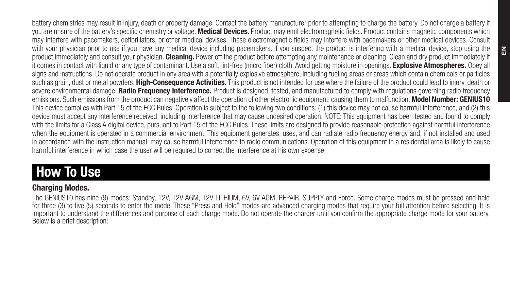battery chemistries may result in injury, death or property damage. Contact the battery manufacturer prior to attempting to charge the battery. Do not charge a battery if you are unsure of the battery's specific chemistry or voltage. Medical Devices. Product may emit electromagnetic fields. Product contains magnetic components which may interfere with pacemakers, defibrillators, or other medical devises. These electromagnetic fields may interfere with pacemakers or other medical devices. Consult with your physician prior to use if you have any medical device including pacemakers. If you suspect the product is interfering with a medical device, stop using the product immediately and consult your physician. Cleaning. Power off the product before attempting any maintenance or cleaning. Clean and dry product immediately if it comes in contact with liquid or any type of contaminant. Use a soft, lint-free (micro fiber) cloth. Avoid getting moisture in openings. Explosive Atmospheres. Obey all signs and instructions. Do not operate product in any area with a potentially explosive atmosphere, including fueling areas or areas which contain chemicals or particles such as grain, dust or metal powders. High-Consequence Activities. This product is not intended for use where the failure of the product could lead to injury, death or severe environmental damage. Radio Frequency Interference. Product is designed, tested, and manufactured to comply with regulations governing radio frequency emissions. Such emissions from the product can negatively affect the operation of other electronic equipment, causing them to malfunction. Model Number: GENIUS10 This device complies with Part 15 of the FCC Rules. Operation is subject to the following two conditions: (1) this device may not cause harmful interference, and (2) this device must accept any interference received, including interference that may cause undesired operation. NOTE: This equipment has been tested and found to comply with the limits for a Class A digital device, pursuant to Part 15 of the FCC Rules. These limits are designed to provide reasonable protection against harmful interference when the equipment is operated in a commercial environment. This equipment generates, uses, and can radiate radio frequency energy and, if not installed and used in accordance with the instruction manual, may cause harmful interference to radio communications. Operation of this equipment in a residential area is likely to cause harmful interference in which case the user will be required to correct the interference at his own expense.

# How To Use

# Charging Modes.

The GENIUS10 has nine (9) modes: Standby, 12V, 12V AGM, 12V LITHIUM, 6V, 6V AGM, REPAIR, SUPPLY and Force. Some charge modes must be pressed and held for three (3) to five (5) seconds to enter the mode. These "Press and Hold" modes are advanced charging modes that require your full attention before selecting. It is important to understand the differences and purpose of each charge mode. Do not operate the charger until you confirm the appropriate charge mode for your battery. Below is a brief description: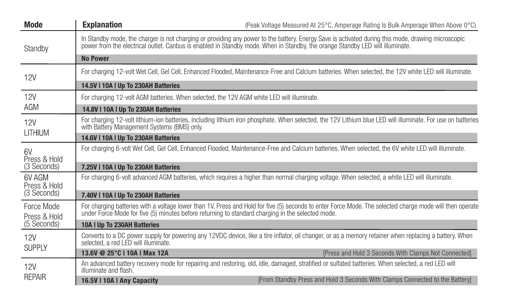| Mode                       | <b>Explanation</b>                          | (Peak Voltage Measured At 25°C. Amperage Rating Is Bulk Amperage When Above 0°C)                                                                                                                                                                                                    |
|----------------------------|---------------------------------------------|-------------------------------------------------------------------------------------------------------------------------------------------------------------------------------------------------------------------------------------------------------------------------------------|
| Standby                    |                                             | In Standby mode, the charger is not charging or providing any power to the battery. Energy Saye is activated during this mode, drawing microscopic<br>power from the electrical outlet. Canbus is enabled in Standby mode. When in Standby, the orange Standby LED will illuminate. |
|                            | <b>No Power</b>                             |                                                                                                                                                                                                                                                                                     |
| <b>12V</b>                 |                                             | For charging 12-volt Wet Cell, Gel Cell, Enhanced Flooded, Maintenance-Free and Calcium batteries, When selected, the 12V white LED will illuminate.                                                                                                                                |
|                            | 14.5V   10A   Up To 230AH Batteries         |                                                                                                                                                                                                                                                                                     |
| 12V                        |                                             | For charging 12-volt AGM batteries. When selected, the 12V AGM white LED will illuminate.                                                                                                                                                                                           |
| AGM                        | 14.8V   10A   Up To 230AH Batteries         |                                                                                                                                                                                                                                                                                     |
| 12V                        | with Battery Management Systems (BMS) only. | For charging 12-volt lithium-ion batteries, including lithium iron phosphate. When selected, the 12V Lithium blue LED will illuminate. For use on batteries                                                                                                                         |
| LITHIUM                    | 14.6V   10A   Up To 230AH Batteries         |                                                                                                                                                                                                                                                                                     |
| 6V<br>Press & Hold         |                                             | For charging 6-volt Wet Cell, Gel Cell, Enhanced Flooded, Maintenance-Free and Calcium batteries, When selected, the 6V white LED will illuminate,                                                                                                                                  |
| (3 Seconds)                | 7.25V I 10A I Up To 230AH Batteries         |                                                                                                                                                                                                                                                                                     |
| 6V AGM<br>Press & Hold     |                                             | For charging 6-volt advanced AGM batteries, which requires a higher than normal charging voltage. When selected, a white LED will illuminate.                                                                                                                                       |
| (3 Seconds)                | 7.40V   10A   Up To 230AH Batteries         |                                                                                                                                                                                                                                                                                     |
| Force Mode<br>Press & Hold |                                             | For charging batteries with a voltage lower than 1V. Press and Hold for five (5) seconds to enter Force Mode. The selected charge mode will then operate<br>under Force Mode for five (5) minutes before returning to standard charging in the selected mode.                       |
| (5 Seconds)                | 10A I Up To 230AH Batteries                 |                                                                                                                                                                                                                                                                                     |
| 12V<br>SUPPLY              | selected, a red LED will illuminate.        | Converts to a DC power supply for powering any 12VDC device, like a tire inflator, oil changer, or as a memory retainer when replacing a battery. When                                                                                                                              |
|                            | 13.6V @ 25°C   10A   Max 12A                | [Press and Hold 3 Seconds With Clamps Not Connected]                                                                                                                                                                                                                                |
| <b>12V</b>                 | illuminate and flash.                       | An advanced battery recovery mode for repairing and restoring, old, idle, damaged, stratified or sulfated batteries. When selected, a red LED will                                                                                                                                  |
| <b>REPAIR</b>              | 16.5V I 10A I Any Capacity                  | [From Standby Press and Hold 3 Seconds With Clamps Connected to the Battery]                                                                                                                                                                                                        |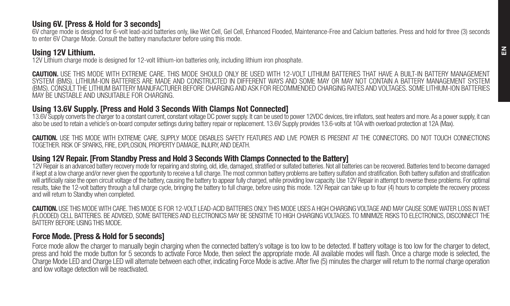#### Using 6V. [Press & Hold for 3 seconds]

6V charge mode is designed for 6-volt lead-acid batteries only, like Wet Cell, Gel Cell, Enhanced Flooded, Maintenance-Free and Calcium batteries. Press and hold for three (3) seconds to enter 6V Charge Mode. Consult the battery manufacturer before using this mode.

## Using 12V Lithium.

12V Lithium charge mode is designed for 12-volt lithium-ion batteries only, including lithium iron phosphate.

CAUTION. USE THIS MODE WITH EXTREME CARE. THIS MODE SHOULD ONLY BE USED WITH 12-VOLT LITHIUM BATTERIES THAT HAVE A BUILT-IN BATTERY MANAGEMENT<br>SYSTEM (RMS) LITHIUM-ION BATTERIES ARE MADE AND CONSTRUCTED IN DIFFERENT WAYS A (BMS). CONSULT THE LITHIUM BATTERY MANUFACTURER BEFORE CHARGING AND ASK FOR RECOMMENDED CHARGING RATES AND VOLTAGES. SOME LITHIUM-ION BATTERIES MAY BE UNSTABLE AND UNSUITABLE FOR CHARGING.

### Using 13.6V Supply. [Press and Hold 3 Seconds With Clamps Not Connected]

13.6V Supply converts the charger to a constant current, constant voltage DC power supply. It can be used to power 12VDC devices, tire inflators, seat heaters and more. As a power supply, it can also be used to retain a vehicle's on-board computer settings during battery repair or replacement. 13.6V Supply provides 13.6-volts at 10A with overload protection at 12A (Max).

CAUTION. USE THIS MODE WITH EXTREME CARE, SUPPLY MODE DISABLES SAFETY FEATURES AND LIVE POWER IS PRESENT AT THE CONNECTORS. DO NOT TOUCH CONNECTIONS TOGETHER. RISK OF SPARKS, FIRE, EXPLOSION, PROPERTY DAMAGE, INJURY, AND DEATH.

### Using 12V Repair. [From Standby Press and Hold 3 Seconds With Clamps Connected to the Battery]

12V Repair is an advanced battery recovery mode for repairing and storing, old, idle, damaged, stratified or sulfated batteries. Not all batteries can be recovered. Batteries tend to become damaged if kept at a low charge and/or never given the opportunity to receive a full charge. The most common battery problems are battery sulfation and stratification. Both battery sulfation and stratification and stratification will artificially raise the open circuit voltage of the battery, causing the battery to appear fully charged, while providing low capacity. Use 12V Repair in attempt to reverse these problems. For optimal results, take the 12-volt battery through a full charge cycle, bringing the battery to full charge, before using this mode. 12V Repair can take up to four (4) hours to complete the recovery process and will return to Standby when completed.

CAUTION. USE THIS MODE WITH CARE. THIS MODE IS FOR 12-VOLT LEAD-ACID BATTERIES ONLY. THIS MODE USES A HIGH CHARGING VOLTAGE AND MAY CAUSE SOME WATER LOSS IN WET (FLOODED) CELL BATTERIES. BE ADVISED, SOME BATTERIES AND ELECTRONICS MAY BE SENSITIVE TO HIGH CHARGING VOLTAGES. TO MINIMIZE RISKS TO ELECTRONICS, DISCONNECT THE BATTERY BEFORE USING THIS MODE.

# Force Mode. [Press & Hold for 5 seconds]

Force mode allow the charger to manually begin charging when the connected battery's voltage is too low to be detected. If battery voltage is too low for the charger to detect. press and hold the mode button for 5 seconds to activate Force Mode, then select the appropriate mode. All available modes will flash. Once a charge mode is selected, the Charge Mode LED and Charge LED will alternate between each other, indicating Force Mode is active. After five (5) minutes the charger will return to the normal charge operation and low voltage detection will be reactivated.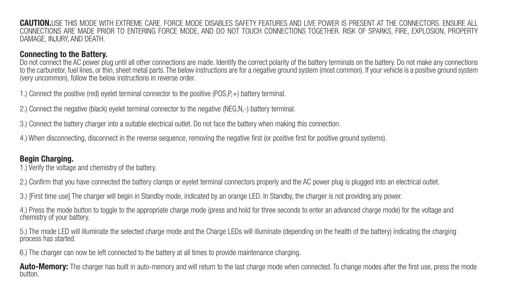CAUTION.USE THIS MODE WITH EXTREME CARE. FORCE MODE DISABLES SAFETY FEATURES AND LIVE POWER IS PRESENT AT THE CONNECTORS. ENSURE ALL CONNECTIONS ARE MADE PRIOR TO ENTERING FORCE MODE, AND DO NOT TOUCH CONNECTIONS TOGETHER. RISK OF SPARKS, FIRE, EXPLOSION, PROPERTY DAMAGE, INJURY, AND DEATH.

# Connecting to the Battery.

Do not connect the AC power plug until all other connections are made. Identify the correct polarity of the battery terminals on the battery. Do not make any connections to the carburetor, fuel lines, or thin, sheet metal parts. The below instructions are for a negative ground system (most common). If your vehicle is a positive ground system (very uncommon), follow the below instructions in reverse order.

1.) Connect the positive (red) eyelet terminal connector to the positive (POS,P,+) battery terminal.

- 2.) Connect the negative (black) eyelet terminal connector to the negative (NEG,N,-) battery terminal.
- 3.) Connect the battery charger into a suitable electrical outlet. Do not face the battery when making this connection.
- 4.) When disconnecting, disconnect in the reverse sequence, removing the negative first (or positive first for positive ground systems).

# Begin Charging.

- 1.) Verify the voltage and chemistry of the battery.
- 2.) Confirm that you have connected the battery clamps or eyelet terminal connectors properly and the AC power plug is plugged into an electrical outlet.
- 3.) [First time use] The charger will begin in Standby mode, indicated by an orange LED. In Standby, the charger is not providing any power.
- 4.) Press the mode button to toggle to the appropriate charge mode (press and hold for three seconds to enter an advanced charge mode) for the voltage and chemistry of your battery.

5.) The mode LED will illuminate the selected charge mode and the Charge LEDs will illuminate (depending on the health of the battery) indicating the charging process has started.

6.) The charger can now be left connected to the battery at all times to provide maintenance charging.

Auto-Memory: The charger has built in auto-memory and will return to the last charge mode when connected. To change modes after the first use, press the mode<br>button.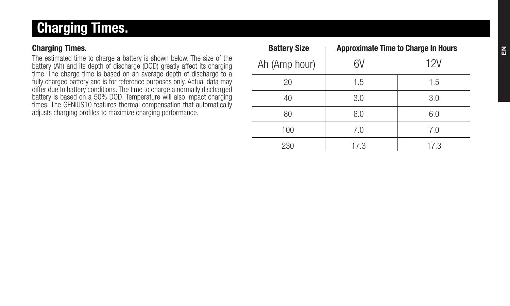# Charging Times.

# Charging Times.

The estimated time to charge a battery is shown below. The size of the battery (Ah) and its depth of discharge (DOD) greatly affect its charging time. The charge time is based on an average depth of discharge to a fully charged battery and is for reference purposes only. Actual data may differ due to battery conditions. The time to charge a normally discharged battery is based on a 50% DOD. Temperature will also impact charging times. The GENIUS10 features thermal compensation that automatically adjusts charging profiles to maximize charging performance.

| <b>Battery Size</b> |               | <b>Approximate Time to Charge In Hours</b> |      |  |
|---------------------|---------------|--------------------------------------------|------|--|
|                     | Ah (Amp hour) | 6V                                         | 12V  |  |
|                     | 20            | 1.5                                        | 1.5  |  |
|                     | 40            | 3.0                                        | 3.0  |  |
|                     | 80            | 6.0                                        | 6.0  |  |
|                     | 100           | 7.0                                        | 7.0  |  |
|                     | 230           | 17.3                                       | 17.3 |  |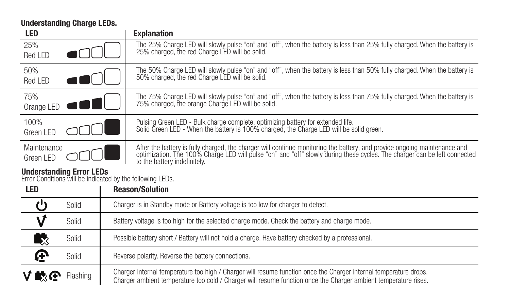Understanding Charge LEDs.

| LED                       |                                                                                              | <b>Explanation</b>                                                                                                                                                                                                                                                                     |  |
|---------------------------|----------------------------------------------------------------------------------------------|----------------------------------------------------------------------------------------------------------------------------------------------------------------------------------------------------------------------------------------------------------------------------------------|--|
| 25%<br>Red I FD           |                                                                                              | The 25% Charge LED will slowly pulse "on" and "off", when the battery is less than 25% fully charged. When the battery is<br>25% charged, the red Charge LED will be solid.                                                                                                            |  |
| 50%<br>Red I FD           |                                                                                              | The 50% Charge LED will slowly pulse "on" and "off", when the battery is less than 50% fully charged. When the battery is<br>50% charged, the red Charge LED will be solid.                                                                                                            |  |
| 75%<br>Orange LED         |                                                                                              | The 75% Charge LED will slowly pulse "on" and "off", when the battery is less than 75% fully charged. When the battery is<br>75% charged, the orange Charge LED will be solid.                                                                                                         |  |
| 100%<br>Green I FD        |                                                                                              | Pulsing Green LED - Bulk charge complete, optimizing battery for extended life.<br>Solid Green LED - When the battery is 100% charged, the Charge LED will be solid green.                                                                                                             |  |
| Maintenance<br>Green I FD |                                                                                              | After the battery is fully charged, the charger will continue monitoring the battery, and provide ongoing maintenance and<br>optimization. The 100% Charge LED will pulse "on" and "off" slowly during these cycles. The charger can be left connected<br>to the battery indefinitely. |  |
|                           | <b>Understanding Error LEDs</b><br>Error Conditions will be indicated by the following LEDs. |                                                                                                                                                                                                                                                                                        |  |
| <b>LED</b>                |                                                                                              | <b>Reason/Solution</b>                                                                                                                                                                                                                                                                 |  |
|                           | Solid                                                                                        | Charger is in Standby mode or Battery voltage is too low for charger to detect.                                                                                                                                                                                                        |  |
|                           | Solid                                                                                        | Battery voltage is too high for the selected charge mode. Check the battery and charge mode.                                                                                                                                                                                           |  |
| €                         | Solid                                                                                        | Possible battery short / Battery will not hold a charge. Have battery checked by a professional.                                                                                                                                                                                       |  |
| ቍ                         | Solid                                                                                        | Reverse polarity. Reverse the battery connections.                                                                                                                                                                                                                                     |  |
|                           | Flashing                                                                                     | Charger internal temperature too high / Charger will resume function once the Charger internal temperature drops.<br>Charger ambient temperature too cold / Charger will resume function once the Charger ambient temperature rises.                                                   |  |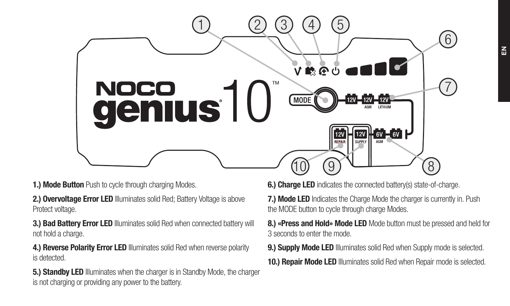

1.) Mode Button Push to cycle through charging Modes.

2.) Overvoltage Error LED Illuminates solid Red: Battery Voltage is above Protect voltage.

3.) Bad Battery Error LED Illuminates solid Red when connected battery will not hold a charge.

4.) Reverse Polarity Error LED Illuminates solid Red when reverse polarity is detected.

5.) Standby LED Illuminates when the charger is in Standby Mode, the charger is not charging or providing any power to the battery.

6.) Charge LED indicates the connected battery(s) state-of-charge.

7.) Mode LED Indicates the Charge Mode the charger is currently in. Push the MODE button to cycle through charge Modes.

8.) «Press and Hold» Mode LED Mode button must be pressed and held for 3 seconds to enter the mode.

9.) Supply Mode LED Illuminates solid Red when Supply mode is selected. 10.) Repair Mode LED Illuminates solid Red when Repair mode is selected.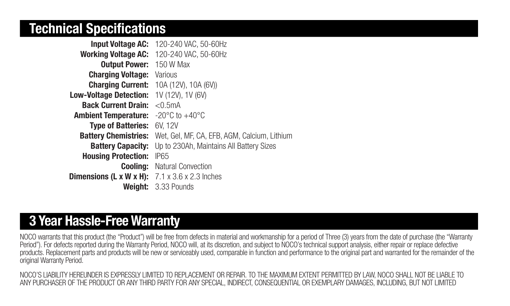# Technical Specifications. Technical Specifications

| <b>Input Voltage AC:</b>      | 120-240 VAC, 50-60Hz                         |
|-------------------------------|----------------------------------------------|
| <b>Working Voltage AC:</b>    | 120-240 VAC, 50-60Hz                         |
| <b>Output Power:</b>          | 150 W Max                                    |
| <b>Charging Voltage:</b>      | Various                                      |
| <b>Charging Current:</b>      | 10A (12V), 10A (6V))                         |
| <b>Low-Voltage Detection:</b> | 1V (12V), 1V (6V)                            |
| <b>Back Current Drain:</b>    | < 0.5mA                                      |
| <b>Ambient Temperature:</b>   | $-20^{\circ}$ C to $+40^{\circ}$ C           |
| <b>Type of Batteries:</b>     | 6V. 12V                                      |
| <b>Battery Chemistries:</b>   | Wet. Gel. MF. CA. EFB. AGM. Calcium. Lithium |
| <b>Battery Capacity:</b>      | Up to 230Ah, Maintains All Battery Sizes     |
| <b>Housing Protection:</b>    | <b>IP65</b>                                  |
| Coolina:                      | Natural Convection                           |
| Dimensions (L x W x H):       | 7.1 x 3.6 x 2.3 Inches                       |
| Weiaht:                       | 3.33 Pounds                                  |

# 3 Year Hassle-Free Warranty

NOCO warrants that this product (the "Product") will be free from defects in material and workmanship for a period of Three (3) years from the date of purchase (the "Warranty Period"). For defects reported during the Warranty Period, NOCO will, at its discretion, and subject to NOCO's technical support analysis, either repair or replace defective products. Replacement parts and products will be new or serviceably used, comparable in function and performance to the original part and warranted for the remainder of the original Warranty Period.

NOCO'S LIABILITY HEREUNDER IS EXPRESSLY LIMITED TO REPLACEMENT OR REPAIR. TO THE MAXIMUM EXTENT PERMITTED BY LAW, NOCO SHALL NOT BE LIABLE TO ANY PURCHASER OF THE PRODUCT OR ANY THIRD PARTY FOR ANY SPECIAL, INDIRECT, CONSEQUENTIAL OR EXEMPLARY DAMAGES, INCLUDING, BUT NOT LIMITED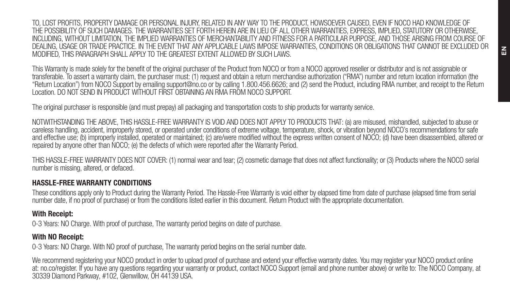TO, LOST PROFITS, PROPERTY DAMAGE OR PERSONAL INJURY, RELATED IN ANY WAY TO THE PRODUCT, HOWSOEVER CAUSED, EVEN IF NOCO HAD KNOWLEDGE OF THE POSSIBILITY OF SUCH DAMAGES. THE WARRANTIES SET FORTH HEREIN ARE IN LIEU OF ALL OTHER WARRANTIES, EXPRESS, IMPLIED, STATUTORY OR OTHERWISE, INCLUDING, WITHOUT LIMITATION, THE IMPLIED WARRANTIES OF MERCHANTABILITY AND FITNESS FOR A PARTICULAR PURPOSE, AND THOSE ARISING FROM COURSE OF DEALING, USAGE OR TRADE PRACTICE. IN THE EVENT THAT ANY APPLICABLE LAWS IMPOSE WARRANTIES, CONDITIONS OR OBLIGATIONS THAT CANNOT BE EXCLUDED OR MODIFIED, THIS PARAGRAPH SHALL APPLY TO THE GREATEST EXTENT ALLOWED BY SUCH LAWS.

This Warranty is made solely for the benefit of the original purchaser of the Product from NOCO or from a NOCO approved reseller or distributor and is not assignable or transferable. To assert a warranty claim, the purchaser must: (1) request and obtain a return merchandise authorization ("RMA") number and return location information (the "Return Location") from NOCO Support by emailing support@no.co or by calling 1.800.456.6626; and (2) send the Product, including RMA number, and receipt to the Return Location. DO NOT SEND IN PRODUCT WITHOUT FIRST OBTAINING AN RMA FROM NOCO SUPPORT.

The original purchaser is responsible (and must prepay) all packaging and transportation costs to ship products for warranty service.

NOTWITHSTANDING THE ABOVE, THIS HASSLE-FREE WARRANTY IS VOID AND DOES NOT APPLY TO PRODUCTS THAT: (a) are misused, mishandled, subjected to abuse or careless handling, accident, improperly stored, or operated under conditions of extreme voltage, temperature, shock, or vibration beyond NOCO's recommendations for safe and effective use; (b) improperly installed, operated or maintained; (c) are/were modified without the express written consent of NOCO; (d) have been disassembled, altered or repaired by anyone other than NOCO; (e) the defects of which were reported after the Warranty Period.

THIS HASSLE-FREE WARRANTY DOES NOT COVER: (1) normal wear and tear; (2) cosmetic damage that does not affect functionality; or (3) Products where the NOCO serial number is missing, altered, or defaced.

### HASSLE-FREE WARRANTY CONDITIONS

These conditions apply only to Product during the Warranty Period. The Hassle-Free Warranty is void either by elapsed time from date of purchase (elapsed time from serial number date, if no proof of purchase) or from the conditions listed earlier in this document. Return Product with the appropriate documentation.

### With Receipt:

0-3 Years: NO Charge. With proof of purchase. The warranty period begins on date of purchase.

## With NO Receipt:

0-3 Years: NO Charge. With NO proof of purchase. The warranty period begins on the serial number date.

We recommend registering your NOCO product in order to upload proof of purchase and extend your effective warranty dates. You may register your NOCO product online at: no.co/register. If you have any questions regarding your warranty or product, contact NOCO Support (email and phone number above) or write to: The NOCO Company, at 30339 Diamond Parkway, #102, Glenwillow, OH 44139 USA.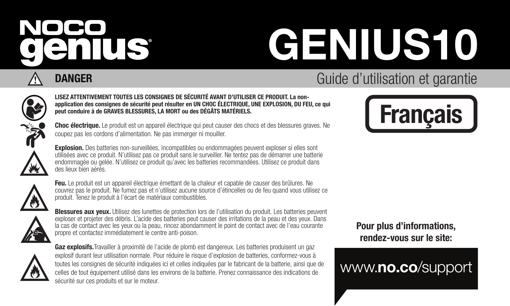# NOCO enius

# GENIUS10

# **DANGER** Guide d'utilisation et garantie

## LISEZ ATTENTIVEMENT TOUTES LES CONSIGNES DE SÉCURITÉ AVANT D'UTILISER CE PRODUIT. La nonapplication des consignes de sécurité peut résulter en UN CHOC ÉLECTRIQUE, UNE EXPLOSION, DU FEU, ce qui peut conduire à de GRAVES BLESSURES, LA MORT ou des DÉGÂTS MATÉRIELS.

Choc électrique. Le produit est un appareil électrique qui peut causer des chocs et des blessures graves. Ne coupez pas les cordons d'alimentation. Ne pas immerger ni mouiller.

Explosion. Des batteries non-surveillées, incompatibles ou endommagées peuvent exploser si elles sont utilisées avec ce produit. N'utilisez pas ce produit sans le surveiller. Ne tentez pas de démarrer une batterie endommagée ou gelée. N'utilisez ce produit qu'avec les batteries recommandées. Utilisez ce produit dans des lieux bien aérés.



Feu. Le produit est un appareil électrique émettant de la chaleur et capable de causer des brûlures. Ne couvrez pas le produit. Ne fumez pas et n'utilisez aucune source d'étincelles ou de feu quand vous utilisez ce produit. Tenez le produit à l'écart de matériaux combustibles.



Blessures aux yeux. Utilisez des lunettes de protection lors de l'utilisation du produit. Les batteries peuvent<br>exploser et projeter des débris. L'acide des batteries peut causer des irritations de la peau et des yeux. Dan la cas de contact avec les yeux ou la peau, rincez abondamment le point de contact avec de l'eau courante propre et contactez immédiatement le centre anti-poison.



Gaz explosifs. Travailler à proximité de l'acide de plomb est dangereux. Les batteries produisent un gaz explosif durant leur utilisation normale. Pour réduire le risque d'explosion de batteries, conformez-vous à toutes les consignes de sécurité indiquées ici et celles indiquées par le fabricant de la batterie, ainsi que de celles de tout équipement utilisé dans les environs de la batterie. Prenez connaissance des indications de sécurité sur ces produits et sur le moteur.





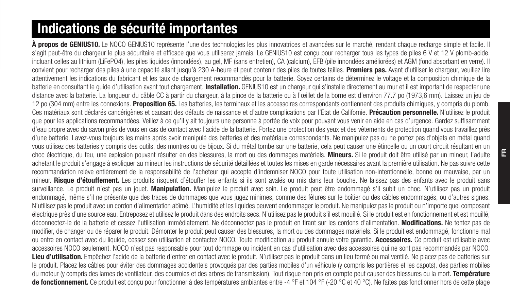# Indications de sécurité importantes

À propos de GENIUS10. Le NOCO GENIUS10 représente l'une des technologies les plus innovatrices et avancées sur le marché, rendant chaque recharge simple et facile. Il s'agit peut-être du chargeur le plus sécuritaire et efficace que vous utiliserez jamais. Le GENIUS10 est conçu pour recharger tous les types de piles 6 V et 12 V plomb-acide. incluant celles au lithium (LiFePO4), les piles liquides (innondées), au gel, MF (sans entretien), CA (calcium), FFB (pile innondées améliorées) et AGM (fond absorbant en verre). Il convient pour recharger des piles à une capacité allant jusqu'à 230 A-heure et peut contenir des piles de toutes tailles. Premiers pas. Avant d'utiliser le chargeur, veuillez lire attentivement les indications du fabricant et les taux de chargement recommandés pour la batterie. Soyez certains de déterminez le voltage et la composition chimique de la batterie en consultant le quide d'utilisation avant tout chargement. Installation. GENIUS10 est un chargeur qui s'installe directement au mur et il est important de respecter une distance avec la batterie. La longueur du câble CC à partir du chargeur, à la pince de la batterie ou à l'œillet de la borne est d'environ 77.7 po (1973,6 mm). Laissez un jeu de 12 po (304 mm) entre les connexions. Proposition 65. Les batteries, les terminaux et les accessoires correspondants contiennent des produits chimiques, y compris du plomb. Ces matériaux sont déclarés cancérigènes et causant des défauts de naissance et d'autre complications par l'État de Californie. Précaution personnelle. N'utilisez le produit que pour les applications recommandées. Veillez à ce qu'il y ait toujours une personne à portée de voix pour pouvant vous venir en aide en cas d'urgence. Gardez suffisamment d'eau propre avec du savon près de vous en cas de contact avec l'acide de la batterie. Portez une protection des yeux et des vêtements de protection quand vous travaillez près d'une batterie. Lavez-vous toujours les mains après avoir manipulé des batteries et des matériaux correspondants. Ne manipulez pas ou ne portez pas d'objets en métal quand vous utilisez des batteries y compris des outils, des montres ou de bijoux. Si du métal tombe sur une batterie, cela peut causer une étincelle ou un court circuit résultant en un choc électrique, du feu, une explosion pouvant résulter en des blessures, la mort ou des dommages matériels. Mineurs, Si le produit doit être utilisé par un mineur. l'adulte achetant le produit s'engage à expliquer au mineur les instructions de sécurité détaillées et toutes les mises en garde nécessaires avant la première utilisation. Ne pas suivre cette recommandation relève entièrement de la responsabilité de l'acheteur qui accepte d'indemniser NOCO pour toute utilisation non-intentionnelle, bonne ou mauvaise, par un mineur. Risque d'étouffement. Les produits risquent d'étouffer les enfants si ils sont avalés ou mis dans leur bouche. Ne laissez pas des enfants avec le produit sans surveillance. Le produit n'est pas un jouet. Manipulation. Manipulez le produit avec soin. Le produit peut être endommagé s'il subit un choc. N'utilisez pas un produit endommagé, même s'il ne présente que des traces de dommages que vous jugez minimes, comme des fêlures sur le boîtier ou des câbles endommagés, ou d'autres signes. N'utilisez pas le produit avec un cordon d'alimentation abîmé. L'humidité et les liquides peuvent endommager le produit. Ne manipulez pas le produit ou n'importe quel composant électrique près d'une source eau. Entreposez et utilisez le produit dans des endroits secs. N'utilisez pas le produit s'il est mouillé. Si le produit est en fonctionnement et est mouillé, déconnectez-le de la batterie et cessez l'utilisation immédiatement. Ne déconnectez pas le produit en tirant sur les cordons d'alimentation. Modifications. Ne tentez pas de modifier, de changer ou de réparer le produit. Démonter le produit peut causer des blessures, la mort ou des dommages matériels. Si le produit est endommagé, fonctionne mal ou entre en contact avec du liquide, cessez son utilisation et contactez NOCO. Toute modification au produit annule votre garantie. Accessoires. Ce produit est utilisable avec accessoires NOCO seulement. NOCO n'est pas responsable pour tout dommage ou incident en cas d'utilisation avec des accessoires qui ne sont pas recommandés par NOCO. Lieu d'utilisation. Empêchez l'acide de la batterie d'entrer en contact avec le produit. N'utilisez pas le produit dans un lieu fermé ou mal ventilé. Ne placez pas de batteries sur le produit. Placez les câbles pour éviter des dommages accidentels provoqués par des parties mobiles d'un véhicule (y compris les portières et les capots), des parties mobiles du moteur (y compris des lames de ventilateur, des courroies et des arbres de transmission). Tout risque non pris en compte peut causer des blessures ou la mort. Température de fonctionnement. Ce produit est concu pour fonctionner à des températures ambiantes entre -4 °F et 104 °F (-20 °C et 40 °C). Ne faites pas fonctionner hors de cette plage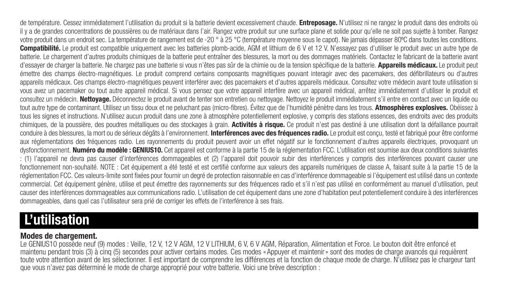de température. Cessez immédiatement l'utilisation du produit si la batterie devient excessivement chaude. Entreposage. N'utilisez ni ne rangez le produit dans des endroits où il y a de grandes concentrations de poussières ou de matériaux dans l'air. Rangez votre produit sur une surface plane et solide pour qu'elle ne soit pas sujette à tomber. Rangez votre produit dans un endroit sec. La température de rangement est de -20 ° à 25 °C (température moyenne sous le capot). Ne jamais dépasser 80°C dans toutes les conditions. Compatibilité. Le produit est compatible uniquement avec les batteries plomb-acide. AGM et lithium de 6 V et 12 V. N'essayez pas d'utiliser le produit avec un autre type de batterie. Le chargement d'autres produits chimiques de la batterie peut entraîner des blessures, la mort ou des dommages matériels. Contactez le fabricant de la batterie avant d'essayer de charger la batterie. Ne chargez pas une batterie si vous n'êtes pas sûr de la chimie ou de la tension spécifique de la batterie. Appareils médicaux. Le produit peut émettre des champs électro-magnétiques. Le produit comprend certains composants magnétiques pouvant interagir avec des pacemakers, des défibrillateurs ou d'autres appareils médicaux. Ces champs électro-magnétiques peuvent interférer avec des pacemakers et d'autres appareils médicaux. Consultez votre médecin avant toute utilisation si vous avez un pacemaker ou tout autre appareil médical. Si vous pensez que votre appareil interfère avec un appareil médical, arrêtez immédiatement d'utiliser le produit et consultez un médecin. Nettoyage. Déconnectez le produit avant de tenter son entretien ou nettoyage. Nettoyez le produit immédiatement s'il entre en contact avec un liquide ou tout autre type de contaminant. Utilisez un tissu doux et ne peluchant pas (micro-fibres). Évitez que de l'humidité pénètre dans les trous. Atmosphères explosives. Obéissez à tous les signes et instructions. N'utilisez aucun produit dans une zone à atmosphère potentiellement explosive, y compris des stations essences, des endroits avec des produits chimiques, de la poussière, des poudres métalliques ou des stockages à grain. Activités à risque. Ce produit n'est pas destiné à une utilisation dont la défaillance pourrait conduire à des blessures, la mort ou de sérieux dégâts à l'environnement. Interférences avec des fréquences radio. Le produit est conçu, testé et fabriqué pour être conforme aux réglementations des fréquences radio. Les rayonnements du produit peuvent avoir un effet négatif sur le fonctionnement d'autres appareils électriques, provoquant un dysfonctionnement. Numéro du modèle : GENIUS10. Cet appareil est conforme à la partie 15 de la réglementation FCC. L'utilisation est soumise aux deux conditions suivantes : (1) l'appareil ne devra pas causer d'interférences dommageables et (2) l'appareil doit pouvoir subir des interférences y compris des interférences pouvant causer une fonctionnement non-souhaité. NOTE : Cet équipement a été testé et est certifié conforme aux valeurs des appareils numériques de classe A, faisant suite à la partie 15 de la réglementation FCC. Ces valeurs-limite sont fixées pour fournir un degré de protection raisonnable en cas d'interférence dommageable si l'équipement est utilisé dans un contexte commercial. Cet équipement génère, utilise et peut émettre des rayonnements sur des fréquences radio et s'il n'est pas utilisé en conformément au manuel d'utilisation, peut causer des interférences dommageables aux communications radio. L'utilisation de cet équipement dans une zone d'habitation peut potentiellement conduire à des interférences dommageables, dans quel cas l'utilisateur sera prié de corriger les effets de l'interférence à ses frais.

# L'utilisation

# Modes de chargement.

Le GENIUS10 possède neuf (9) modes : Veille, 12 V, 12 V AGM, 12 V LITHIUM, 6 V, 6 V AGM, Réparation, Alimentation et Force. Le bouton doit être enfoncé et maintenu pendant trois (3) à cinq (5) secondes pour activer certains modes. Ces modes «Appuyer et maintenir» sont des modes de charge avancés qui requièrent toute votre attention avant de les sélectionner. Il est important de comprendre les différences et la fonction de chaque mode de charge. N'utilisez pas le chargeur tant que vous n'avez pas déterminé le mode de charge approprié pour votre batterie. Voici une brève description :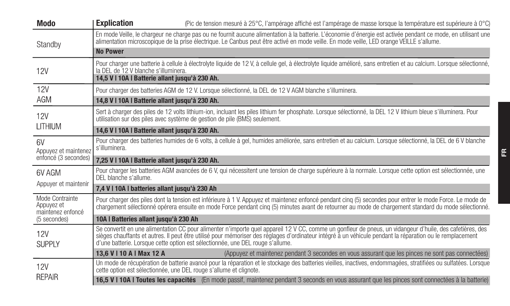| Modo                                               | <b>Explication</b><br>(Pic de tension mesuré à 25°C, l'ampérage affiché est l'ampérage de masse lorsque la température est supérieure à 0°C)                                                                                                                                                                                                                                                             |  |
|----------------------------------------------------|----------------------------------------------------------------------------------------------------------------------------------------------------------------------------------------------------------------------------------------------------------------------------------------------------------------------------------------------------------------------------------------------------------|--|
| Standby                                            | En mode Veille, le chargeur ne charge pas ou ne fournit aucune alimentation à la batterie, L'économie d'énergie est activée pendant ce mode, en utilisant une<br>alimentation microscopique de la prise électrique. Le Canbus peut être activé en mode veille. En mode veille, LED orange VEILLE s'allume.                                                                                               |  |
|                                                    | <b>No Power</b>                                                                                                                                                                                                                                                                                                                                                                                          |  |
| <b>12V</b>                                         | Pour charger une batterie à cellule à électrolyte liquide de 12 V, à cellule gel, à électrolyte liquide amélioré, sans entretien et au calcium, Lorsque sélectionné,<br>la DEL de 12 V blanche s'illuminera.<br>14.5 V I 10A I Batterie allant iusqu'à 230 Ah.                                                                                                                                           |  |
| <b>12V</b>                                         |                                                                                                                                                                                                                                                                                                                                                                                                          |  |
| AGM                                                | Pour charger des batteries AGM de 12 V. Lorsque sélectionné, la DEL de 12 V AGM blanche s'illuminera.                                                                                                                                                                                                                                                                                                    |  |
|                                                    | 14,8 V I 10A I Batterie allant jusqu'à 230 Ah.                                                                                                                                                                                                                                                                                                                                                           |  |
| <b>12V</b>                                         | Sert à charger des piles de 12 volts lithium-ion, incluant les piles lithium fer phosphate. Lorsque sélectionné, la DEL 12 V lithium bleue s'illuminera. Pour<br>utilisation sur des piles avec système de gestion de pile (BMS) seulement.                                                                                                                                                              |  |
| LITHIUM                                            | 14.6 V I 10A I Batterie allant iusqu'à 230 Ah.                                                                                                                                                                                                                                                                                                                                                           |  |
| 6V<br>Appuvez et maintenez                         | Pour charger des batteries humides de 6 volts, à cellule à gel, humides améliorée, sans entretien et au calcium, Lorsque sélectionné, la DEL de 6 V blanche<br>s'illuminera.                                                                                                                                                                                                                             |  |
| enfoncé (3 secondes)                               | 7.25 V I 10A I Batterie allant iusqu'à 230 Ah.                                                                                                                                                                                                                                                                                                                                                           |  |
| 6V AGM                                             | Pour charger les batteries AGM avancées de 6 V, qui nécessitent une tension de charge supérieure à la normale. Lorsque cette option est sélectionnée, une<br>DEL blanche s'allume.                                                                                                                                                                                                                       |  |
| Appuyer et maintenir                               | 7.4 V I 10A I batteries allant jusqu'à 230 Ah                                                                                                                                                                                                                                                                                                                                                            |  |
| Mode Contrainte<br>Appuvez et<br>maintenez enfoncé | Pour charger des piles dont la tension est inférieure à 1 V. Appuvez et maintenez enfoncé pendant cing (5) secondes pour entrer le mode Force. Le mode de<br>chargement sélectionné opérera ensuite en mode Force pendant cing (5) minutes avant de retourner au mode de chargement standard du mode sélectionné.                                                                                        |  |
| (5 secondes)                                       | 10A I Batteries allant jusqu'à 230 Ah                                                                                                                                                                                                                                                                                                                                                                    |  |
| 12V<br><b>SUPPLY</b>                               | Se convertit en une alimentation CC pour alimenter n'importe quel appareil 12 V CC, comme un gonfleur de pneus, un vidangeur d'huile, des cafetières, des<br>sièges chauffants et autres. Il peut être utilisé pour mémoriser des réglages d'ordinateur intégré à un véhicule pendant la réparation ou le remplacement<br>d'une batterie. Lorsque cette option est sélectionnée, une DEL rouge s'allume. |  |
|                                                    | 13.6 V   10 A   Max 12 A<br>(Appuvez et maintenez pendant 3 secondes en vous assurant que les pinces ne sont pas connectées)                                                                                                                                                                                                                                                                             |  |
| <b>12V</b>                                         | Un mode de récupération de batterie avancé pour la réparation et le stockage des batteries vieilles, inactives, endommagées, stratifiées ou sulfatées, Lorsque<br>cette option est sélectionnée, une DEL rouge s'allume et clignote.                                                                                                                                                                     |  |
| REPAIR                                             | 16,5 V I 10A I Toutes les capacités (En mode passif, maintenez pendant 3 seconds en vous assurant que les pinces sont connectées à la batterie)                                                                                                                                                                                                                                                          |  |

FR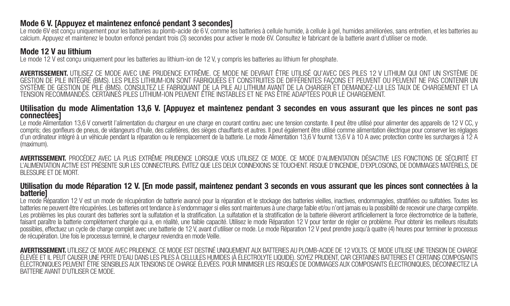#### Mode 6 V. [Appuyez et maintenez enfoncé pendant 3 secondes]

Le mode 6V est conçu uniquement pour les batteries au plomb-acide de 6 V, comme les batteries à cellule humide, à cellule à gel, humides améliorées, sans entretien, et les batteries au calcium. Appuyez et maintenez le bouton enfoncé pendant trois (3) secondes pour activer le mode 6V. Consultez le fabricant de la batterie avant d'utiliser ce mode.

#### Mode 12 V au lithium

Le mode 12 V est conçu uniquement pour les batteries au lithium-ion de 12 V, y compris les batteries au lithium fer phosphate.

AVERTISSEMENT. UTILISEZ CE MODE AVEC UNE PRUDENCE EXTRÊME. CE MODE NE DEVRAIT ÊTRE UTILISÉ QU'AVEC DES PILES 12 V LITHIUM QUI ONT UN SYSTÈME DE GESTION DE PILE INTÉGRÉ (BMS). LES PILES LITHIUM-ION SONT FABRIQUÉES ET CONSTRUITES DE DIFFÉRENTES FAÇONS ET PEUVENT OU PEUVENT NE PAS CONTENIR UN SYSTÈME DE GESTION DE PILE (BMS). CONSULTEZ LE FABRIQUANT DE LA PILE AU LITHIUM AVANT DE LA CHARGER ET DEMANDEZ-LUI LES TAUX DE CHARGEMENT ET LA TENSION RECOMMANDÉS. CERTAINES PILES LITHIUM-ION PEUVENT ÊTRE INSTABLES ET NE PAS ÊTRE ADAPTÉES POUR LE CHARGEMENT.

#### Utilisation du mode Alimentation 13,6 V. [Appuyez et maintenez pendant 3 secondes en vous assurant que les pinces ne sont pas connectées]

Le mode Alimentation 13.6 V convertit l'alimentation du chargeur en une charge en courant continu avec une tension constante. Il peut être utilisé pour alimenter des appareils de 12 V CC, y compris; des gonfleurs de pneus, de vidangeurs d'huile, des cafetières, des sièges chauffants et autres. Il peut également être utilisé comme alimentation électrique pour conserver les réglages d'un ordinateur intégré à un véhicule pendant la réparation ou le remplacement de la batterie. Le mode Alimentation 13,6 V fournit 13,6 V à 10 A avec protection contre les surcharges à 12 A (maximum).

AVERTISSEMENT. PROCÉDEZ AVEC LA PLUS EXTRÊME PRUDENCE LORSQUE VOUS UTILISEZ CE MODE. CE MODE D'ALIMENTATION DÉSACTIVE LES FONCTIONS DE SÉCURITÉ ET L'ALIMENTATION ACTIVE EST PRÉSENTE SUR LES CONNECTEURS. ÉVITEZ QUE LES DEUX CONNEXIONS SE TOUCHENT. RISQUE D'INCENDIE, D'EXPLOSIONS, DE DOMMAGES MATÉRIELS, DE BLESSURE ET DE MORT.

#### Utilisation du mode Réparation 12 V. [En mode passif, maintenez pendant 3 seconds en vous assurant que les pinces sont connectées à la **batterie]**

Le mode Réparation 12 V est un mode de récupération de batterie avancé pour la réparation et le stockage des batteries vieilles, inactives, endommagées, stratifiées ou sulfatées. Toutes les batteries ne peuvent être récupérées. Les batteries ont tendance à s'endommager si elles sont maintenues à une charge faible et/ou n'ont jamais eu la possibilité de recevoir une charge complète. Les problèmes les plus courant des batteries sont la sulfatation et la stratification. La sulfatation et la stratification de la batterie élèveront artificiellement la force électromotrice de la batterie, faisant paraître la batterie complètement chargée qui a, en réalité, une faible capacité. Utilisez le mode Réparation 12 V pour tenter de régler ce problème. Pour obtenir les meilleurs résultats possibles, effectuez un cycle de charge complet avec une batterie de 12 V, avant d'utiliser ce mode. Le mode Réparation 12 V peut prendre jusqu'à quatre (4) heures pour terminer le processus de récupération. Une fois le processus terminé, le chargeur reviendra en mode Veille.

AVERTISSEMENT. I ITILISEZ CE MODE AVEC PRUDENCE. CE MODE EST DESTINÉ UNIQUEMENT AUX BATTERIES AU PLOMB-ACIDE DE 12 VOLTS. CE MODE UTILISE UNE TENSION DE CHARGE ÉLEVÉE ET IL PEUT CAUSER UNE PERTE D'EAU DANS LES PILES À CELLULES HUMIDES (À ÉLECTROLYTE LIQUIDE). SOYEZ PRUDENT, CAR CERTAINES BATTERIES ET CERTAINS COMPOSANTS ÉLECTRONIQUES PEUVENT ÊTRE SENSIBLES AUX TENSIONS DE CHARGE ÉLEVÉES, POUR MINIMISER LES RISQUES DE DOMMAGES AUX COMPOSANTS ÉLECTRONIQUES, DÉCONNECTEZ LA BATTERIE AVANT D'UTILISER CE MODE.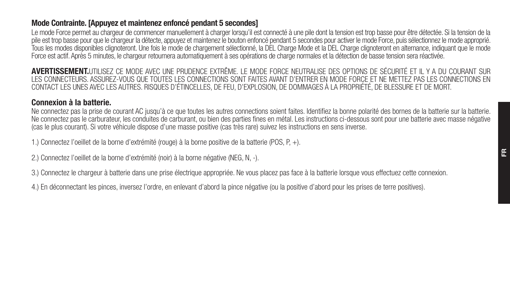## Mode Contrainte. [Appuyez et maintenez enfoncé pendant 5 secondes]

Le mode Force permet au chargeur de commencer manuellement à charger lorsqu'il est connecté à une pile dont la tension est trop basse pour être détectée. Si la tension de la pile est trop basse pour que le chargeur la détecte, appuyez et maintenez le bouton enfoncé pendant 5 secondes pour activer le mode Force, puis sélectionnez le mode approprié. Tous les modes disponibles clignoteront. Une fois le mode de chargement sélectionné, la DEL Charge Mode et la DEL Charge clignoteront en alternance, indiquant que le mode Force est actif. Après 5 minutes, le chargeur retournera automatiquement à ses opérations de charge normales et la détection de basse tension sera réactivée.

AVERTISSEMENT.UTILISEZ CE MODE AVEC UNE PRUDENCE EXTRÊME. LE MODE FORCE NEUTRALISE DES OPTIONS DE SÉCURITÉ ET IL Y A DU COURANT SUR LES CONNECTEURS. ASSUREZ-VOUS QUE TOUTES LES CONNECTIONS SONT FAITES AVANT D'ENTRER EN MODE FORCE ET NE METTEZ PAS LES CONNECTIONS EN CONTACT LES UNES AVEC LES AUTRES. RISQUES D'ÉTINCELLES, DE FEU, D'EXPLOSION, DE DOMMAGES À LA PROPRIÉTÉ, DE BLESSURE ET DE MORT.

# Connexion à la batterie.

Ne connectez pas la prise de courant AC jusqu'à ce que toutes les autres connections soient faites. Identifiez la bonne polarité des bornes de la batterie sur la batterie. Ne connectez pas le carburateur, les conduites de carburant, ou bien des parties fines en métal. Les instructions ci-dessous sont pour une batterie avec masse négative (cas le plus courant). Si votre véhicule dispose d'une masse positive (cas très rare) suivez les instructions en sens inverse.

1.) Connectez l'oeillet de la borne d'extrémité (rouge) à la borne positive de la batterie (POS, P, +).

2.) Connectez l'oeillet de la borne d'extrémité (noir) à la borne négative (NEG, N, -).

3.) Connectez le chargeur à batterie dans une prise électrique appropriée. Ne vous placez pas face à la batterie lorsque vous effectuez cette connexion.

4.) En déconnectant les pinces, inversez l'ordre, en enlevant d'abord la pince négative (ou la positive d'abord pour les prises de terre positives).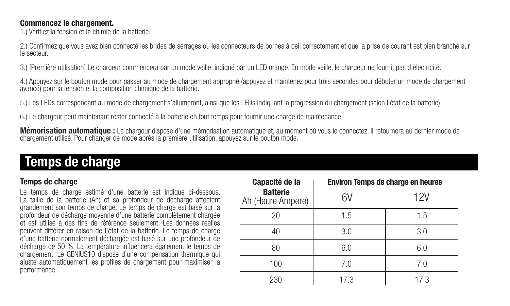#### Commencez le chargement.

1.) Vérifiez la tension et la chimie de la batterie.

2.) Confirmez que vous avez bien connecté les brides de serrages ou les connecteurs de bornes à oeil correctement et que la prise de courant est bien branché sur<br>le secteur.

3.) [Première utilisation] Le chargeur commencera par un mode veille, indiqué par un LED orange. En mode veille, le chargeur ne fournit pas d'électricité.

4.) Appuyez sur le bouton mode pour passer au mode de chargement approprié (appuyez et maintenez pour trois secondes pour débuter un mode de chargement avancé) pour la tension et la composition chimique de la batterie.

5.) Les LEDs correspondant au mode de chargement s'allumeront, ainsi que les LEDs indiquant la progression du chargement (selon l'état de la batterie).

6.) Le chargeur peut maintenant rester connecté à la batterie en tout temps pour fournir une charge de maintenance.

**Mémorisation automatique :** Le chargeur dispose d'une mémorisation automatique et, au moment où vous le connectez, il retournera au dernier mode de<br>chargement utilisé. Pour changer de mode après la première utilisation, a

# Temps de charge

# Temps de charge

Le temps de charge estimé d'une batterie est indiqué ci-dessous. La taille de la batterie (Ah) et sa profondeur de décharge affectent grandement son temps de charge. Le temps de charge est basé sur la profondeur de décharge moyenne d'une batterie complètement chargée et est utilisé à des fins de référence seulement. Les données réelles peuvent différer en raison de l'état de la batterie. Le temps de charge d'une batterie normalement déchargée est basé sur une profondeur de décharge de 50 %. La température influencera également le temps de chargement. Le GENIUS10 dispose d'une compensation thermique qui ajuste automatiquement les profiles de chargement pour maximiser la performance.

| Capacité de la                       | Environ Temps de charge en heures |     |
|--------------------------------------|-----------------------------------|-----|
| <b>Batterie</b><br>Ah (Heure Ampère) | 6V                                | 12V |
| 20                                   | 1.5                               | 1.5 |
| 40                                   | 3.0                               | 3.0 |
| 80                                   | 6.0                               | 6.0 |
| 100                                  | 7.0                               | 7.0 |
| 230                                  | 17.3                              | 173 |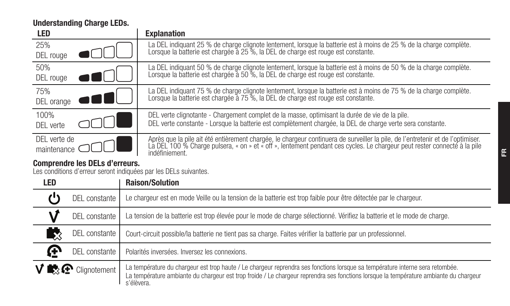Understanding Charge LEDs.

| <b>LED</b>       | <b>Explanation</b>                                                                                                                                                                                                                |
|------------------|-----------------------------------------------------------------------------------------------------------------------------------------------------------------------------------------------------------------------------------|
| 25%              | La DEL indiquant 25 % de charge clignote lentement, lorsque la batterie est à moins de 25 % de la charge complète.                                                                                                                |
| DEL rouge        | Lorsque la batterie est chargée à 25 %, la DEL de charge est rouge est constante.                                                                                                                                                 |
| 50%<br>DEL rouge | La DEL indiquant 50 % de charge clignote lentement, lorsque la batterie est à moins de 50 % de la charge complète.<br>Lorsque la batterie est chargée à 50 %, la DEL de charge est rouge est constante.                           |
| 75%              | La DEL indiquant 75 % de charge clignote lentement, lorsque la batterie est à moins de 75 % de la charge complète.                                                                                                                |
| DEL orange       | Lorsque la batterie est chargée à 75 %. la DEL de charge est rouge est constante.                                                                                                                                                 |
| 100%             | DEL verte clignotante - Chargement complet de la masse, optimisant la durée de vie de la pile.                                                                                                                                    |
| DFI verte        | DEL verte constante - Lorsque la batterie est complètement chargée, la DEL de charge verte sera constante.                                                                                                                        |
| DEL verte de     | Après que la pile ait été entièrement chargée, le chargeur continuera de surveiller la pile, de l'entretenir et de l'optimiser.<br>La DEL 100 % Charge pulsera, « on » et « off », lentement pendant ces cycles. Le chargeur peut |
| maintenance      | indéfiniement.                                                                                                                                                                                                                    |

**Comprendre les DELs d'erreurs.**<br>Les conditions d'erreur seront indiquées par les DELs suivantes.

| LED |                                          | <b>Raison/Solution</b>                                                                                                                                                                                                                                                               |
|-----|------------------------------------------|--------------------------------------------------------------------------------------------------------------------------------------------------------------------------------------------------------------------------------------------------------------------------------------|
|     | DEL constante                            | Le chargeur est en mode Veille ou la tension de la batterie est trop faible pour être détectée par le chargeur.                                                                                                                                                                      |
|     | DEL constante                            | La tension de la batterie est trop élevée pour le mode de charge sélectionné. Vérifiez la batterie et le mode de charge.                                                                                                                                                             |
| 53  | DEL constante                            | Court-circuit possible/la batterie ne tient pas sa charge. Faites vérifier la batterie par un professionnel.                                                                                                                                                                         |
| œ   | DEL constante                            | Polarités inversées, Inversez les connexions.                                                                                                                                                                                                                                        |
|     | $V \mathbb{R}$ $\mathbb{C}$ Cliqnotement | La température du chargeur est trop haute / Le chargeur reprendra ses fonctions lorsque sa température interne sera retombée.<br>La température ambiante du chargeur est trop froide / Le chargeur reprendra ses fonctions lorsque la température ambiante du chargeur<br>s'élèvera. |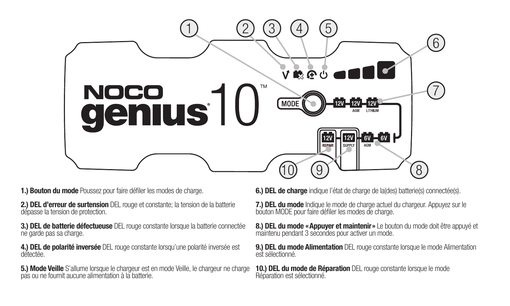

1.) Bouton du mode Poussez pour faire défiler les modes de charge.

2.) DEL d'erreur de surtension DEL rouge et constante; la tension de la batterie dépasse la tension de protection.

3.) DEL de batterie défectueuse DEL rouge constante lorsque la batterie connectée ne garde pas sa charge.

4.) DEL de polarité inversée DEL rouge constante lorsqu'une polarité inversée est

5.) Mode Veille S'allume lorsque le chargeur est en mode Veille, le chargeur ne charge<br>pas ou ne fournit aucune alimentation à la batterie.

6.) DEL de charge indique l'état de charge de la(des) batterie(s) connectée(s).

7.) DEL du mode Indique le mode de charge actuel du chargeur. Appuyez sur le bouton MODE pour faire défiler les modes de charge.

8.) DEL du mode «Appuyer et maintenir» Le bouton du mode doit être appuyé et maintenu pendant 3 secondes pour activer un mode.

9.) DEL du mode Alimentation DEL rouge constante lorsque le mode Alimentation est sélectionné.

10.) DEL du mode de Réparation DEL rouge constante lorsque le mode<br>Réparation est sélectionné.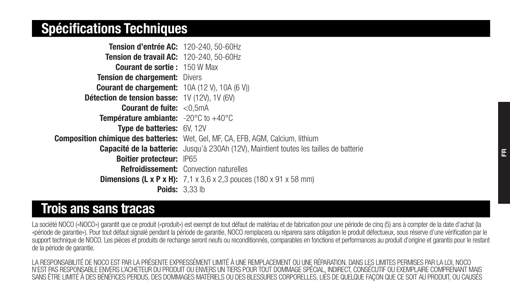# Spécifications Techniques

| Tension d'entrée AC: 120-240, 50-60Hz                           |                                                                                               |
|-----------------------------------------------------------------|-----------------------------------------------------------------------------------------------|
| Tension de travail AC: 120-240, 50-60Hz                         |                                                                                               |
| <b>Courant de sortie: 150 W Max</b>                             |                                                                                               |
| <b>Tension de chargement: Divers</b>                            |                                                                                               |
| <b>Courant de chargement:</b> 10A (12 V), 10A (6 V))            |                                                                                               |
| Détection de tension basse: 1V (12V), 1V (6V)                   |                                                                                               |
| <b>Courant de fuite:</b> $< 0.5mA$                              |                                                                                               |
| <b>Température ambiante:</b> $-20^{\circ}$ C to $+40^{\circ}$ C |                                                                                               |
| Type de batteries: 6V, 12V                                      |                                                                                               |
|                                                                 | Composition chimique des batteries: Wet, Gel, MF, CA, EFB, AGM, Calcium, lithium              |
|                                                                 | <b>Capacité de la batterie:</b> Jusqu'à 230Ah (12V). Maintient toutes les tailles de batterie |
| Boitier protecteur: IP65                                        |                                                                                               |
|                                                                 | <b>Refroidissement:</b> Convection naturelles                                                 |
|                                                                 | <b>Dimensions (L x P x H):</b> $7.1 \times 3.6 \times 2.3$ pouces (180 x 91 x 58 mm)          |
|                                                                 | Poids: 3.33 lb                                                                                |

# Trois ans sans tracas

La société NOCO («NOCO») garantit que ce produit («produit») est exempt de tout défaut de matériau et de fabrication pour une période de cinq (5) ans à compter de la date d'achat (la «période de garantie»). Pour tout défaut signalé pendant la période de garantie, NOCO remplacera ou réparera sans obligation le produit défectueux, sous réserve d'une vérification par le support technique de NOCO. Les pièces et produits de rechange seront neufs ou reconditionnés, comparables en fonctions et performances au produit d'origine et garantis pour le restant de la période de garantie.

LA RESPONSABILITÉ DE NOCO EST PAR LA PRÉSENTE EXPRESSÉMENT LIMITÉ À UNE REMPLACEMENT OU UNE RÉPARATION. DANS LES LIMITES PERMISES PAR LA LOI, NOCO N'EST PAS RESPONSABLE ENVERS L'ACHETEUR DU PRODUIT OU ENVERS UN TIERS POUR TOUT DOMMAGE SPÉCIAL, INDIRECT, CONSÉCUTIF OU EXEMPLAIRE COMPRENANT MAIS SANS ÊTRE LIMITÉ À DES BÉNÉFICES PERDUS, DES DOMMAGES MATÉRIELS OU DES BLESSURES CORPORELLES, LIÉS DE QUELQUE FAÇON QUE CE SOIT AU PRODUIT, OU CAUSÉS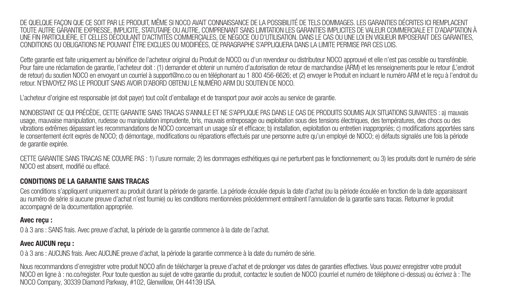DE QUELQUE FAÇON QUE CE SOIT PAR LE PRODUIT, MÊME SI NOCO AVAIT CONNAISSANCE DE LA POSSIBILITÉ DE TELS DOMMAGES. LES GARANTIES DÉCRITES ICI REMPLACENT TOUTE AUTRE GARANTIE EXPRESSE, IMPLICITE, STATUTAIRE OU AUTRE, COMPRENANT SANS LIMITATION LES GARANTIES IMPLICITES DE VALEUR COMMERCIALE ET D'ADAPTATION À UNE FIN PARTICULIÈRE, ET CELLES DÉCOULANT D'ACTIVITÉS COMMERCIALES, DE NÉGOCE OU D'UTILISATION. DANS LE CAS OU UNE LOI EN VIGUEUR IMPOSERAIT DES GARANTIES, CONDITIONS OU OBLIGATIONS NE POUVANT ÊTRE EXCLUES OU MODIFIÉES, CE PARAGRAPHE S'APPLIQUERA DANS LA LIMITE PERMISE PAR CES LOIS.

Cette garantie est faite uniquement au bénéfice de l'acheteur original du Produit de NOCO ou d'un revendeur ou distributeur NOCO approuvé et elle n'est pas cessible ou transférable. Pour faire une réclamation de garantie, l'acheteur doit : (1) demander et obtenir un numéro d'autorisation de retour de marchandise (ARM) et les renseignements pour le retour (L'endroit de retour) du soutien NOCO en envoyant un courriel à support@no.co ou en téléphonant au 1 800 456-6626; et (2) envoyer le Produit en incluant le numéro ARM et le reçu à l'endroit du retour. N'ENVOYEZ PAS LE PRODUIT SANS AVOIR D'ABORD OBTENU LE NUMÉRO ARM DU SOUTIEN DE NOCO.

L'acheteur d'origine est responsable (et doit payer) tout coût d'emballage et de transport pour avoir accès au service de garantie.

NONOBSTANT CE QUI PRÉCÈDE, CETTE GARANTIE SANS TRACAS S'ANNULE ET NE S'APPLIQUE PAS DANS LE CAS DE PRODUITS SOUMIS AUX SITUATIONS SUIVANTES : a) mauvais usage, mauvaise manipulation, rudesse ou manipulation imprudente, bris, mauvais entreposage ou exploitation sous des tensions électriques, des températures, des chocs ou des vibrations extrêmes dépassant les recommandations de NOCO concernant un usage sûr et efficace; b) installation, exploitation ou entretien inappropriés; c) modifications apportées sans le consentement écrit exprès de NOCO; d) démontage, modifications ou réparations effectués par une personne autre qu'un employé de NOCO; e) défauts signalés une fois la période de garantie expirée.

CETTE GARANTIE SANS TRACAS NE COUVRE PAS : 1) l'usure normale; 2) les dommages esthétiques qui ne perturbent pas le fonctionnement; ou 3) les produits dont le numéro de série NOCO est absent, modifié ou effacé.

#### CONDITIONS DE LA GARANTIE SANS TRACAS

Ces conditions s'appliquent uniquement au produit durant la période de garantie. La période écoulée depuis la date d'achat (ou la période écoulée en fonction de la date apparaissant au numéro de série si aucune preuve d'achat n'est fournie) ou les conditions mentionnées précédemment entraînent l'annulation de la garantie sans tracas. Retourner le produit accompagné de la documentation appropriée.

#### Avec reçu :

0 à 3 ans : SANS frais. Avec preuve d'achat, la période de la garantie commence à la date de l'achat.

#### Avec AUCUN reçu :

0 à 3 ans : AUCUNS frais. Avec AUCUNE preuve d'achat, la période la garantie commence à la date du numéro de série.

Nous recommandons d'enregistrer votre produit NOCO afin de télécharger la preuve d'achat et de prolonger vos dates de garanties effectives. Vous pouvez enregistrer votre produit NOCO en ligne à : no.co/register. Pour toute question au sujet de votre garantie du produit, contactez le soutien de NOCO (courriel et numéro de téléphone ci-dessus) ou écrivez à : The NOCO Company, 30339 Diamond Parkway, #102, Glenwillow, OH 44139 USA.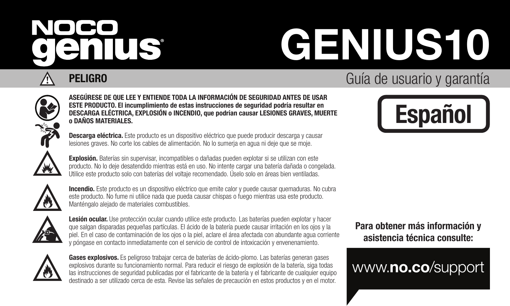# NOCO enius

# GENIUS10

# **PELIGRO** Guía de usuario y garantía



ASEGÚRESE DE QUE LEE Y ENTIENDE TODA LA INFORMACIÓN DE SEGURIDAD ANTES DE USAR ESTE PRODUCTO. El incumplimiento de estas instrucciones de seguridad podría resultar en DESCARGA ELÉCTRICA, EXPLOSIÓN o INCENDIO, que podrían causar LESIONES GRAVES, MUERTE o DAÑOS MATERIALES.

Descarga eléctrica. Este producto es un dispositivo eléctrico que puede producir descarga y causar lesiones graves. No corte los cables de alimentación. No lo sumerja en agua ni deje que se moje.

Explosión. Baterías sin supervisar, incompatibles o dañadas pueden explotar si se utilizan con este producto. No lo deje desatendido mientras está en uso. No intente cargar una batería dañada o congelada. Utilice este producto solo con baterías del voltaje recomendado. Úselo solo en áreas bien ventiladas.



Incendio. Este producto es un dispositivo eléctrico que emite calor y puede causar quemaduras. No cubra este producto. No fume ni utilice nada que pueda causar chispas o fuego mientras usa este producto. Manténgalo alejado de materiales combustibles.



Lesión ocular. Use protección ocular cuando utilice este producto. Las baterías pueden explotar y hacer que salgan disparadas pequeñas partículas. El ácido de la batería puede causar irritación en los ojos y la piel. En el caso de contaminación de los ojos o la piel, aclare el área afectada con abundante agua corriente y póngase en contacto inmediatamente con el servicio de control de intoxicación y envenenamiento.



Gases explosivos. Es peligroso trabajar cerca de baterías de ácido-plomo. Las baterías generan gases explosivos durante su funcionamiento normal. Para reducir el riesgo de explosión de la batería, siga todas las instrucciones de seguridad publicadas por el fabricante de la batería y el fabricante de cualquier equipo destinado a ser utilizado cerca de esta. Revise las señales de precaución en estos productos y en el motor.



Para obtener más información y asistencia técnica consulte:

www.no.co/support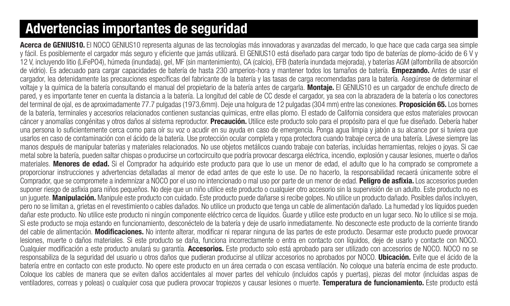# Advertencias importantes de seguridad

Acerca de GENIUS10. El NOCO GENIUS10 representa algunas de las tecnologías más innovadoras y avanzadas del mercado, lo que hace que cada carga sea simple y fácil. Es posiblemente el cargador más seguro y eficiente que jamás utilizará. El GENIUS10 está diseñado para cargar todo tipo de baterías de plomo-ácido de 6 V y 12 V, incluyendo litio (LiFePO4), húmeda (inundada), gel, MF (sin mantenimiento), CA (calcio), EFB (batería inundada mejorada), y baterías AGM (alfombrilla de absorción de vidrio). Es adecuado para cargar capacidades de batería de hasta 230 amperios-hora y mantener todos los tamaños de batería. **Empezando.** Antes de usar el cargador, lea detenidamente las precauciones específicas del fabricante de la batería y las tasas de carga recomendadas para la batería. Asegúrese de determinar el voltaje y la química de la batería consultando el manual del propietario de la batería antes de cargarla. Montaje. El GENIUS10 es un cargador de enchufe directo de pared, y es importante tener en cuenta la distancia a la batería. La longitud del cable de CC desde el cargador, ya sea con la abrazadera de la batería o los conectores del terminal de ojal, es de aproximadamente 77.7 pulgadas (1973,6mm). Deje una holgura de 12 pulgadas (304 mm) entre las conexiones. **Proposición 65.** Los bornes de la batería, terminales y accesorios relacionados contienen sustancias químicas, entre ellas plomo. El estado de California considera que estos materiales provocan cáncer y anomalías congénitas y otros daños al sistema reproductor. Precaución. Utilice este producto solo para el propósito para el que fue diseñado. Debería haber una persona lo suficientemente cerca como para oír su voz o acudir en su ayuda en caso de emergencia. Ponga agua limpia y jabón a su alcance por si tuviera que usarlos en caso de contaminación con el ácido de la batería. Use protección ocular completa y ropa protectora cuando trabaje cerca de una batería. Lávese siempre las manos después de manipular baterías y materiales relacionados. No use objetos metálicos cuando trabaje con baterías, incluidas herramientas, relojes o joyas. Si cae metal sobre la batería, pueden saltar chispas o producirse un cortocircuito que podría provocar descarga eléctrica, incendio, explosión y causar lesiones, muerte o daños materiales. Menores de edad. Si el Comprador ha adquirido este producto para que lo use un menor de edad, el adulto que lo ha comprado se compromete a proporcionar instrucciones y advertencias detalladas al menor de edad antes de que este lo use. De no hacerlo, la responsabilidad recaerá únicamente sobre el Comprador, que se compromete a indemnizar a NOCO por el uso no intencionado o mal uso por parte de un menor de edad. Peligro de asfixia. Los accesorios pueden suponer riesgo de asfixia para niños pequeños. No deje que un niño utilice este producto o cualquier otro accesorio sin la supervisión de un adulto. Este producto no es un juguete. Manipulación. Manipule este producto con cuidado. Este producto puede dañarse si recibe golpes. No utilice un producto dañado. Posibles daños incluyen, pero no se limitan a, grietas en el revestimiento o cables dañados. No utilice un producto que tenga un cable de alimentación dañado. La humedad y los líquidos pueden dañar este producto. No utilice este producto ni ningún componente eléctrico cerca de líquidos. Guarde y utilice este producto en un lugar seco. No lo utilice si se moja. Si este producto se moja estando en funcionamiento, desconéctelo de la batería y deje de usarlo inmediatamente. No desconecte este producto de la corriente tirando del cable de alimentación. Modificaciones. No intente alterar, modificar ni reparar ninguna de las partes de este producto. Desarmar este producto puede provocar lesiones, muerte o daños materiales. Si este producto se daña, funciona incorrectamente o entra en contacto con líquidos, deje de usarlo y contacte con NOCO. Cualquier modificación a este producto anulará su garantía. Accesorios. Este producto solo está aprobado para ser utilizado con accesorios de NOCO, NOCO no se responsabiliza de la seguridad del usuario u otros daños que pudieran producirse al utilizar accesorios no aprobados por NOCO. Ubicación. Evite que el ácido de la batería entre en contacto con este producto. No opere este producto en un área cerrada o con escasa ventilación. No coloque una batería encima de este producto. Coloque los cables de manera que se eviten daños accidentales al mover partes del vehículo (incluidos capós y puertas), piezas del motor (incluidas aspas de ventiladores, correas y poleas) o cualquier cosa que pudiera provocar tropiezos y causar lesiones o muerte. Temperatura de funcionamiento. Este producto está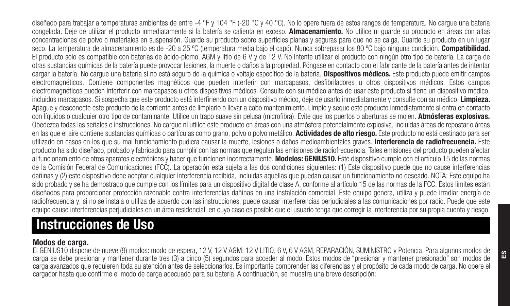diseñado para trabajar a temperaturas ambientes de entre -4 °F y 104 °F (-20 °C y 40 °C). No lo opere fuera de estos rangos de temperatura. No cargue una batería congelada. Deje de utilizar el producto inmediatamente si la batería se calienta en exceso. Almacenamiento. No utilice ni guarde su producto en áreas con altas concentraciones de polvo o materiales en suspensión. Guarde su producto sobre superficies planas y seguras para que no se caiga. Guarde su producto en un lugar seco. La temperatura de almacenamiento es de -20 a 25 °C (temperatura media bajo el capó). Nunca sobrepasar los 80 °C bajo ninguna condición. Compatibilidad. El producto solo es compatible con baterías de ácido-plomo, AGM y litio de 6 V y de 12 V. No intente utilizar el producto con ningún otro tipo de batería. La carga de otras sustancias químicas de la batería puede provocar lesiones, la muerte o daños a la propiedad. Póngase en contacto con el fabricante de la batería antes de intentar cargar la batería. No cargue una batería si no está seguro de la química o voltaje específico de la batería. Dispositivos médicos. Este producto puede emitir campos electromagnéticos. Contiene componentes magnéticos que pueden interferir con marcapasos, desfibriladores u otros dispositivos médicos. Estos campos electromagnéticos pueden interferir con marcapasos u otros dispositivos médicos. Consulte con su médico antes de usar este producto si tiene un dispositivo médico, incluidos marcapasos. Si sospecha que este producto está interfiriendo con un dispositivo médico, deie de usarlo inmediatamente y consulte con su médico. Limpieza. Apague y desconecte este producto de la corriente antes de limpiarlo o llevar a cabo mantenimiento. Limpie y seque este producto inmediatamente si entra en contacto con líquidos o cualquier otro tipo de contaminante. Utilice un trapo suave sin pelusa (microfibra). Evite que los puertos o aberturas se mojen. Atmósferas explosivas. Obedezca todas las señales e instrucciones. No cargue ni utilice este producto en áreas con una atmósfera potencialmente explosiva, incluidas áreas de repostar o áreas en las que el aire contiene sustancias químicas o partículas como grano, polvo polvo metálico. Actividades de alto riesgo. Este producto no está destinado para ser utilizado en casos en los que su mal funcionamiento pudiera causar la muerte, lesiones o daños medioambientales graves. Interferencia de radiofrecuencia. Este producto ha sido diseñado, probado y fabricado para cumplir con las normas que regulan las emisiones de radiofrecuencia. Tales emisiones del producto pueden afectar al funcionamiento de otros aparatos electrónicos y hacer que funcionen incorrectamente. Modelos: GENIUS10. Este dispositivo cumple con el artículo 15 de las normas de la Comisión Federal de Comunicaciones (FCC). La operación está sujeta a las dos condiciones siguientes: (1) Este dispositivo puede que no cause interferencias dañinas y (2) este dispositivo debe aceptar cualquier interferencia recibida, incluidas aquellas que puedan causar un funcionamiento no deseado. NOTA: Este equipo ha sido probado y se ha demostrado que cumple con los límites para un dispositivo digital de clase A, conforme al artículo 15 de las normas de la FCC. Estos límites están diseñados para proporcionar protección razonable contra interferencias dañinas en una instalación comercial. Este equipo genera, utiliza y puede irradiar energía de radiofrecuencia y, si no se instala o utiliza de acuerdo con las instrucciones, puede causar interferencias periudiciales a las comunicaciones por radio. Puede que este equipo cause interferencias perjudiciales en un área residencial, en cuyo caso es posible que el usuario tenga que corregir la interferencia por su propia cuenta y riesgo.

# Instrucciones de Uso

# Modos de carga.

El GENIUS10 dispone de nueve (9) modos: modo de espera, 12 V, 12 V AGM, 12 V LITIO, 6 V, 6 V AGM, REPARACIÓN, SUMINISTRO y Potencia. Para algunos modos de carga se debe presionar y mantener durante tres (3) a cinco (5) segundos para acceder al modo. Estos modos de "presionar y mantener presionado" son modos de carga avanzados que requieren toda su atención antes de seleccionarlos. Es importante comprender las diferencias y el propósito de cada modo de carga. No opere el cargador hasta que confirme el modo de carga adecuado para su batería. A continuación, se muestra una breve descripción: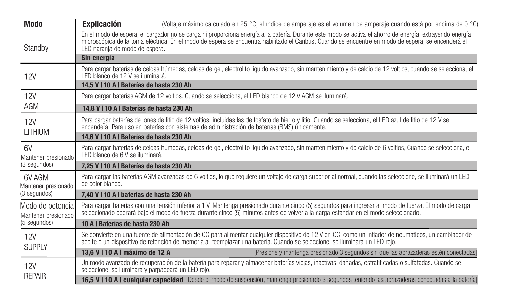| Modo                                                                                                                   | <b>Explicación</b>                                 | (Voltaje máximo calculado en 25 °C, el índice de amperaje es el volumen de amperaje cuando está por encima de 0 °C)                                                                                                                                                                                          |
|------------------------------------------------------------------------------------------------------------------------|----------------------------------------------------|--------------------------------------------------------------------------------------------------------------------------------------------------------------------------------------------------------------------------------------------------------------------------------------------------------------|
| Standby                                                                                                                | LED naranja de modo de espera.                     | En el modo de espera, el cargador no se carga ni proporciona energía a la batería. Durante este modo se activa el ahorro de energía, extrayendo energía<br>microscópica de la toma eléctrica. En el modo de espera se encuentra habilitado el Canbus. Cuando se encuentre en modo de espera, se encenderá el |
|                                                                                                                        | Sin energía                                        |                                                                                                                                                                                                                                                                                                              |
| <b>12V</b>                                                                                                             | LED blanco de 12 V se iluminará.                   | Para cargar baterías de celdas húmedas, celdas de gel, electrolito líquido avanzado, sin mantenimiento y de calcio de 12 voltios, cuando se selecciona, el                                                                                                                                                   |
|                                                                                                                        | 14.5 V I 10 A I Baterías de hasta 230 Ah           |                                                                                                                                                                                                                                                                                                              |
| 12V                                                                                                                    |                                                    | Para cargar baterías AGM de 12 voltios. Cuando se selecciona, el LED blanco de 12 V AGM se iluminará.                                                                                                                                                                                                        |
| AGM                                                                                                                    | 14.8 V I 10 A I Baterías de hasta 230 Ah           |                                                                                                                                                                                                                                                                                                              |
| 12V<br>encenderá. Para uso en baterías con sistemas de administración de baterías (BMS) únicamente.<br><b>I ITHIUM</b> |                                                    | Para cargar baterías de iones de litio de 12 voltios, incluidas las de fosfato de hierro y litio. Cuando se selecciona, el LED azul de litio de 12 V se                                                                                                                                                      |
|                                                                                                                        | 14.6 V I 10 A I Baterías de hasta 230 Ah           |                                                                                                                                                                                                                                                                                                              |
| 6V<br>Mantener presionado                                                                                              | I ED blanco de 6 V se iluminará.                   | Para cargar baterías de celdas húmedas, celdas de gel, electrolito líguido avanzado, sin mantenimiento y de calcio de 6 voltios. Cuando se selecciona, el                                                                                                                                                    |
| (3 segundos)                                                                                                           | 7.25 V I 10 A I Baterías de hasta 230 Ah           |                                                                                                                                                                                                                                                                                                              |
| 6V AGM<br>Mantener presionado                                                                                          | de color blanco.                                   | Para cargar las baterías AGM avanzadas de 6 voltios, lo que requiere un voltaie de carga superior al normal, cuando las seleccione, se iluminará un LED                                                                                                                                                      |
| (3 segundos)                                                                                                           | 7.40 V I 10 A I baterías de hasta 230 Ah           |                                                                                                                                                                                                                                                                                                              |
| Modo de potencia<br>Mantener presionado                                                                                |                                                    | Para cargar baterías con una tensión inferior a 1 V. Mantenga presionado durante cinco (5) segundos para ingresar al modo de fuerza. El modo de carga<br>seleccionado operará baio el modo de fuerza durante cinco (5) minutos antes de volver a la carga estándar en el modo seleccionado.                  |
| (5 segundos)                                                                                                           | 10 A I Baterías de hasta 230 Ah                    |                                                                                                                                                                                                                                                                                                              |
| 12V<br><b>SUPPLY</b>                                                                                                   |                                                    | Se convierte en una fuente de alimentación de CC para alimentar cualquier dispositivo de 12 V en CC, como un inflador de neumáticos, un cambiador de<br>aceite o un dispositivo de retención de memoria al reemplazar una batería. Cuando se seleccione, se iluminará un LED roio.                           |
|                                                                                                                        | 13.6 V   10 A   máximo de 12 A                     | (Presione y mantenga presionado 3 segundos sin que las abrazaderas estén conectadas)                                                                                                                                                                                                                         |
| 12V                                                                                                                    | seleccione, se iluminará y parpadeará un LED rojo. | Un modo avanzado de recuperación de la batería para reparar y almacenar baterías vieias, inactivas, dañadas, estratificadas o sulfatadas, Cuando se                                                                                                                                                          |
| <b>RFPAIR</b>                                                                                                          |                                                    | 16,5 V I 10 A I cualquier capacidad (Desde el modo de suspensión, mantenga presionado 3 segundos teniendo las abrazaderas conectadas a la batería)                                                                                                                                                           |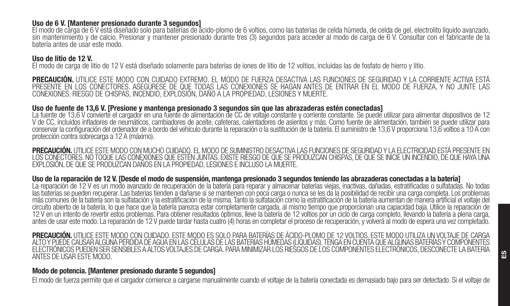#### Uso de 6 V. [Mantener presionado durante 3 segundos]

El modo de carga de 6 V está diseñado solo para baterías de ácido-plomo de 6 voltios, como las baterías de celda húmeda, de celda de gel, electrolito líquido avanzado, sin mantenimiento y de calcio. Presionar y mantener presionado durante tres (3) segundos para acceder al modo de carga de 6 V. Consultar con el fabricante de la batería antes de usar este modo.

#### Uso de litio de 12 V.

El modo de carga de litio de 12 V está diseñado solamente para baterías de iones de litio de 12 voltios, incluidas las de fosfato de hierro y litio.

**PRECAUCIÓN.** UTILICE ESTE MODO CON CUIDADO EXTREMO. EL MODO DE FUERZA DESACTIVA LAS FUNCIONES DE SEGURIDAD Y LA CORRIENTE ACTIVA ESTÁ<br>PRESENTE EN LOS CONECTORES. ASEGÚRESE DE QUE TODAS LAS CONEXIONES SE HAGAN ANTES DE ENT CONEXIONES. RIESGO DE CHISPAS, INCENDIO, EXPLOSIÓN, DAÑO A LA PROPIEDAD, LESIONES Y MUERTE.

#### Uso de fuente de 13,6 V. [Presione y mantenga presionado 3 segundos sin que las abrazaderas estén conectadas]

La fuente de 13,6 V convierte el cargador en una fuente de alimentación de CC de voltaje constante y corriente constante. Se puede utilizar para alimentar dispositivos de 12 V de CC, incluidos infladores de neumáticos, cambiadores de aceite, cafeteras, calentadores de asientos y más. Como fuente de alimentación, también se puede utilizar para conservar la configuración del ordenador de a bordo del vehículo durante la reparación o la sustitución de la batería. El suministro de 13,6 V proporciona 13,6 voltios a 10 A con protección contra sobrecarga a 12 A (máximo).

PRECAUCIÓN. UTILICE ESTE MODO CON MUCHO CUIDADO. EL MODO DE SUMINISTRO DESACTIVA LAS FUNCIONES DE SEGURIDAD Y LA ELECTRICIDAD ESTÁ PRESENTE EN LOS CONECTORES. NO TOQUE LAS CONEXIONES QUE ESTÉN JUNTAS. EXISTE RIESGO DE QUE SE PRODUZCAN CHISPAS, DE QUE SE INICIE UN INCENDIO, DE QUE HAYA UNA EXPLOSIÓN, DE QUE SE PRODUZCAN DAÑOS EN LA PROPIEDAD, LESIONES E INCLUSO LA MUERTE.

#### Uso de la reparación de 12 V. [Desde el modo de suspensión, mantenga presionado 3 segundos teniendo las abrazaderas conectadas a la batería]

La reparación de 12 V es un modo avanzado de recuperación de la batería para reparar y almacenar baterías viejas, inactivas, dañadas, estratificadas o sulfatadas. No todas las baterías se pueden recuperar. Las baterías tienden a dañarse si se mantienen con poca carga o nunca se les da la posibilidad de recibir una carga completa. Los problemas más comunes de la batería son la sulfatación y la estratificación de la misma. Tanto la sulfatación como la estratificación de la batería aumentan de manera artificial el voltaje del circuito abierto de la batería, lo que hace que la batería parezca estar completamente cargada, al mismo tiempo que proporcionan una capacidad baja. Utilice la reparación de 12 V en un intento de revertir estos problemas. Para obtener resultados óptimos, lleve la batería de 12 voltios por un ciclo de carga completo, llevando la batería a plena carga, antes de usar este modo. La reparación de 12 V puede tardar hasta cuatro (4) horas en completar el proceso de recuperación, y volverá al modo de espera una vez completado.

PRECAUCIÓN. UTILICE ESTE MODO CON CUIDADO. ESTE MODO ES SOLO PARA BATERÍAS DE ÁCIDO-PLOMO DE 12 VOLTIOS. ESTE MODO UTILIZA UN VOLTAJE DE CARGA ALTO Y PUEDE CAUSAR ALGUNA PÉRDIDA DE AGUA EN LAS CÉLULAS DE LAS BATERÍAS HÚMEDAS (LÍQUIDAS). TENGA EN CUENTA QUE ALGUNAS BATERÍAS Y COMPONENTES ELECTRÓNICOS PUEDEN SER SENSIBLES A ALTOS VOLTAJES DE CARGA. PARA MINIMIZAR LOS RIESGOS DE LOS COMPONENTES ELECTRÓNICOS, DESCONECTE LA BATERÍA ANTES DE USAR ESTE MODO.

### Modo de potencia. [Mantener presionado durante 5 segundos]

El modo de fuerza permite que el cargador comience a cargarse manualmente cuando el voltaje de la batería conectada es demasiado bajo para ser detectado. Si el voltaje de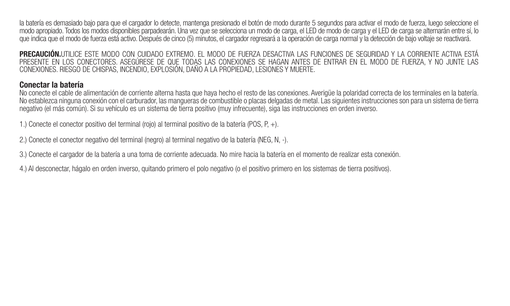la batería es demasiado bajo para que el cargador lo detecte, mantenga presionado el botón de modo durante 5 segundos para activar el modo de fuerza, luego seleccione el modo apropiado. Todos los modos disponibles parpadearán. Una vez que se selecciona un modo de carga, el LED de modo de carga y el LED de carga se alternarán entre sí, lo que indica que el modo de fuerza está activo. Después de cinco (5) minutos, el cargador regresará a la operación de carga normal y la detección de bajo voltaje se reactivará.

PRECAUCIÓN.UTILICE ESTE MODO CON CUIDADO EXTREMO. EL MODO DE FUERZA DESACTIVA LAS FUNCIONES DE SEGURIDAD Y LA CORRIENTE ACTIVA ESTÁ PRESENTE EN LOS CONECTORES. ASEGÚRESE DE QUE TODAS LAS CONEXIONES SE HAGAN ANTES DE ENTRAR EN EL MODO DE FUERZA, Y NO JUNTE LAS CONEXIONES. RIESGO DE CHISPAS, INCENDIO, EXPLOSIÓN, DAÑO A LA PROPIEDAD, LESIONES Y MUERTE.

### Conectar la batería

No conecte el cable de alimentación de corriente alterna hasta que haya hecho el resto de las conexiones. Averigüe la polaridad correcta de los terminales en la batería. No establezca ninguna conexión con el carburador, las mangueras de combustible o placas delgadas de metal. Las siguientes instrucciones son para un sistema de tierra negativo (el más común). Si su vehículo es un sistema de tierra positivo (muy infrecuente), siga las instrucciones en orden inverso.

1.) Conecte el conector positivo del terminal (rojo) al terminal positivo de la batería (POS, P, +).

2.) Conecte el conector negativo del terminal (negro) al terminal negativo de la batería (NEG, N, -).

3.) Conecte el cargador de la batería a una toma de corriente adecuada. No mire hacia la batería en el momento de realizar esta conexión.

4.) Al desconectar, hágalo en orden inverso, quitando primero el polo negativo (o el positivo primero en los sistemas de tierra positivos).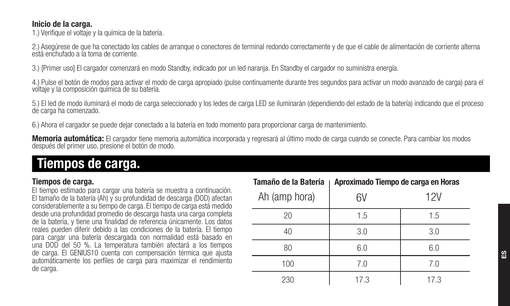### Inicio de la carga.

1.) Verifique el voltaje y la química de la batería.

2.) Asegúrese de que ha conectado los cables de arranque o conectores de terminal redondo correctamente y de que el cable de alimentación de corriente alterna está enchufado a la toma de corriente.

3.) [Primer uso] El cargador comenzará en modo Standby, indicado por un led naranja. En Standby el cargador no suministra energía.

4.) Pulse el botón de modos para activar el modo de carga apropiado (pulse continuamente durante tres segundos para activar un modo avanzado de carga) para el<br>voltaje y la composición química de su batería.

5.) El led de modo iluminará el modo de carga seleccionado y los ledes de carga LED se iluminarán (dependiendo del estado de la batería) indicando que el proceso de carga ha comenzado.

6.) Ahora el cargador se puede dejar conectado a la batería en todo momento para proporcionar carga de mantenimiento.

Memoria automática: El cargador tiene memoria automática incorporada y regresará al último modo de carga cuando se conecte. Para cambiar los modos<br>después del primer uso, presione el botón de modo.

# Tiempos de carga.

# Tiempos de carga.

El tiempo estimado para cargar una batería se muestra a continuación. El tamaño de la batería (Ah) y su profundidad de descarga (DOD) afectan considerablemente a su tiempo de carga. El tiempo de carga está medido desde una profundidad promedio de descarga hasta una carga completa de la batería, y tiene una finalidad de referencia únicamente. Los datos reales pueden diferir debido a las condiciones de la batería. El tiempo para cargar una batería descargada con normalidad está basado en una DOD del 50 %. La temperatura también afectará a los tiempos de carga. El GENIUS10 cuenta con compensación térmica que ajusta automáticamente los perfiles de carga para maximizar el rendimiento de carga.

| Tamaño de la Batería<br>п | Aproximado Tiempo de carga en Horas |      |
|---------------------------|-------------------------------------|------|
| Ah (amp hora)             | 6V                                  | 12V  |
| 20                        | 1.5                                 | 1.5  |
| 40                        | 3.0                                 | 3.0  |
| 80                        | 6.0                                 | 6.0  |
| 100                       | 7.0                                 | 7.0  |
| 230                       | 17.3                                | 17.3 |

s<br>Es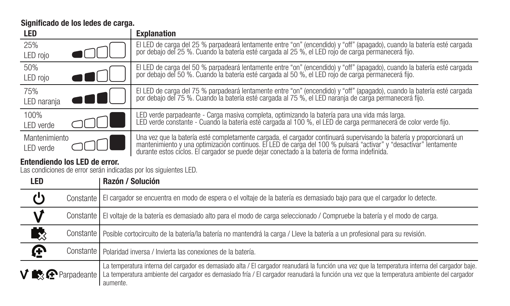Significado de los ledes de carga.

 $\overline{\mathbf{P}}$ 

| LED                                                              | <b>Explanation</b>                                                                                                                                                                                                             |  |
|------------------------------------------------------------------|--------------------------------------------------------------------------------------------------------------------------------------------------------------------------------------------------------------------------------|--|
| 25%                                                              | El LED de carga del 25 % parpadeará lentamente entre "on" (encendido) y "off" (apagado), cuando la batería esté cargada                                                                                                        |  |
| LED roio                                                         | por debaio del 25 %. Cuando la batería esté cargada al 25 %, el LED roio de carga permanecerá filo.                                                                                                                            |  |
| 50%                                                              | El LED de carga del 50 % parpadeará lentamente entre "on" (encendido) y "off" (apagado), cuando la batería esté cargada<br>por debajo del 50 %. Cuando la batería esté cargada al 50 %, el LED rojo de carga permanecerá fijo. |  |
| LED roio                                                         |                                                                                                                                                                                                                                |  |
| 75%                                                              | El LED de carga del 75 % parpadeará lentamente entre "on" (encendido) y "off" (apagado), cuando la batería esté cargada                                                                                                        |  |
| LED narania                                                      | por debaio del 75 %. Cuando la batería esté cargada al 75 %, el LED naránia de carga permanecerá filo.                                                                                                                         |  |
| 100%                                                             | LED verde parpadeante - Carga masiva completa, optimizando la batería para una vida más larga.                                                                                                                                 |  |
| I FD verde                                                       | LED verde constante - Cuando la batería esté cargada al 100 %, el LED de carga permanecerá de color verde fijo.                                                                                                                |  |
| Mantenimiento                                                    | Una vez que la batería esté completamente cargada, el cargador continuará supervisando la batería y proporcionará un                                                                                                           |  |
| I FD verde                                                       | mantenimiento y una optimización continuos. El LED de carga del 100 % pulsará "activar" y "desactivar" lentamente durante estos ciclos. El cargador se puede dejar conectado a la batería de forma indefinida.                 |  |
| Entendiendo los LED de error.                                    |                                                                                                                                                                                                                                |  |
| Las condiciones de error serán indicadas por los siguientes LED. |                                                                                                                                                                                                                                |  |
| <b>LED</b>                                                       | Razón / Solución                                                                                                                                                                                                               |  |
| (')                                                              | Constante   El cargador se encuentra en modo de espera o el voltaje de la batería es demasiado bajo para que el cargador lo detecte.                                                                                           |  |

# Constante El cargador se encuentra en modo de espera o el voltaje de la batería es demasiado bajo para que el cargador lo detecte.

V Constante | El voltaje de la batería es demasiado alto para el modo de carga seleccionado / Compruebe la batería y el modo de carga.

吸 Constante Posible cortocircuito de la batería/la batería no mantendrá la carga / Lleve la batería a un profesional para su revisión.

Constante | Polaridad inversa / Invierta las conexiones de la batería.

**V R** Parpadeante La temperatura interna del cargador es demasiado alta / El cargador reanudará la función una vez que la temperatura interna del cargador baje. La temperatura ambiente del cargador es demasiado fría / El cargador reanudará la función una vez que la temperatura ambiente del cargador aumente.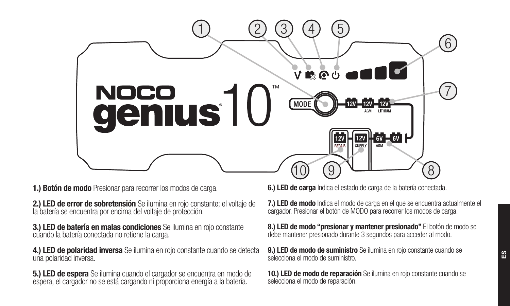

1.) Botón de modo Presionar para recorrer los modos de carga.

2.) LED de error de sobretensión Se ilumina en rojo constante; el voltaje de la batería se encuentra por encima del voltaje de protección.

3.) LED de batería en malas condiciones Se ilumina en rojo constante cuando la batería conectada no retiene la carga.

4.) LED de polaridad inversa Se ilumina en rojo constante cuando se detecta una polaridad inversa.

5.) LED de espera Se ilumina cuando el cargador se encuentra en modo de espera, el cargador no se está cargando ni proporciona energía a la batería.

6.) LED de carga Indica el estado de carga de la batería conectada.

7.) LED de modo Indica el modo de carga en el que se encuentra actualmente el cargador. Presionar el botón de MODO para recorrer los modos de carga.

8.) LED de modo "presionar y mantener presionado" El botón de modo se debe mantener presionado durante 3 segundos para acceder al modo.

9.) LED de modo de suministro Se ilumina en rojo constante cuando se selecciona el modo de suministro.

10.) LED de modo de reparación Se ilumina en rojo constante cuando se selecciona el modo de reparación.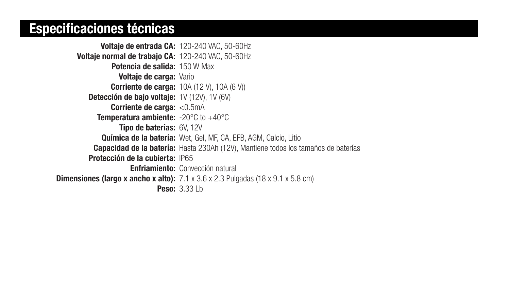# Especificaciones técnicas

Voltaje de entrada CA: 120-240 VAC, 50-60Hz Voltaje normal de trabajo CA: 120-240 VAC, 50-60Hz Potencia de salida: 150 W Max **Voltaje de carga: Vario** Corriente de carga: 10A (12 V), 10A (6 V)) Detección de bajo voltaje: 1V (12V), 1V (6V) Corriente de carga: <0.5mA Temperatura ambiente: -20°C to +40°C Tipo de baterías: 6V, 12V Química de la batería: Wet, Gel, MF, CA, EFB, AGM, Calcio, Litio Capacidad de la batería: Hasta 230Ah (12V), Mantiene todos los tamaños de baterías Protección de la cubierta: IP65 Enfriamiento: Convección natural **Dimensiones (largo x ancho x alto):**  $7.1 \times 3.6 \times 2.3$  Pulgadas (18 x 9.1 x 5.8 cm) Peso: 3.33 Lb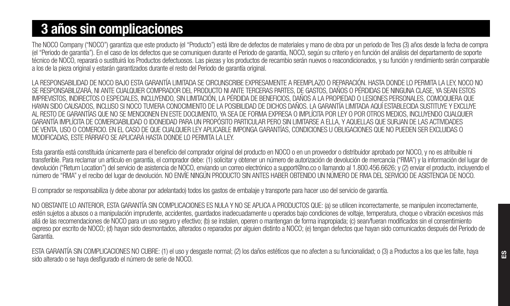# 3 años sin complicaciones

The NOCO Company ("NOCO") garantiza que este producto (el "Producto") está libre de defectos de materiales y mano de obra por un periodo de Tres (3) años desde la fecha de compra (el "Periodo de garantía"). En el caso de los defectos que se comuniquen durante el Periodo de garantía, NOCO, según su criterio y en función del análisis del departamento de soporte técnico de NOCO, reparará o sustituirá los Productos defectuosos. Las piezas y los productos de recambio serán nuevos o reacondicionados, y su función y rendimiento serán comparable a los de la pieza original y estarán garantizados durante el resto del Periodo de garantía original.

LA RESPONSABILIDAD DE NOCO BAJO ESTA GARANTÍA LIMITADA SE CIRCUNSCRIBE EXPRESAMENTE A REEMPLAZO O REPARACIÓN. HASTA DONDE LO PERMITA LA LEY, NOCO NO SE RESPONSABILIZARÁ, NI ANTE CUALQUIER COMPRADOR DEL PRODUCTO NI ANTE TERCERAS PARTES, DE GASTOS, DAÑOS O PÉRDIDAS DE NINGUNA CLASE, YA SEAN ESTOS IMPREVISTOS, INDIRECTOS O ESPECIALES, INCLUYENDO, SIN LIMITACIÓN, LA PÉRDIDA DE BENEFICIOS, DAÑOS A LA PROPIEDAD O LESIONES PERSONALES, COMOQUIERA QUE HAYAN SIDO CAUSADOS, INCLUSO SI NOCO TUVIERA CONOCIMIENTO DE LA POSIBILIDAD DE DICHOS DAÑOS. LA GARANTÍA LIMITADA AQUÍ ESTABLECIDA SUSTITUYE Y EXCLUYE AL RESTO DE GARANTÍAS QUE NO SE MENCIONEN EN ESTE DOCUMENTO, YA SEA DE FORMA EXPRESA O IMPLÍCITA POR LEY O POR OTROS MEDIOS, INCLUYENDO CUALQUIER GARANTÍA IMPLÍCITA DE COMERCIABILIDAD O IDONEIDAD PARA UN PROPÓSITO PARTICULAR PERO SIN LIMITARSE A ELLA, Y AQUELLAS QUE SURJAN DE LAS ACTIVIDADES DE VENTA, USO O COMERCIO. EN EL CASO DE QUE CUALQUIER LEY APLICABLE IMPONGA GARANTÍAS, CONDICIONES U OBLIGACIONES QUE NO PUEDEN SER EXCLUIDAS O MODIFICADAS, ESTE PÁRRAFO SE APLICARÁ HASTA DONDE LO PERMITA LA LEY.

Esta garantía está constituida únicamente para el beneficio del comprador original del producto en NOCO o en un proveedor o distribuidor aprobado por NOCO, y no es atribuible ni transferible. Para reclamar un artículo en garantía, el comprador debe: (1) solicitar y obtener un número de autorización de devolución de mercancía ("RMA") y la información del lugar de devolución ("Return Location") del servicio de asistencia de NOCO, enviando un correo electrónico a support@no.co o llamando al 1.800.456.6626; y (2) enviar el producto, incluyendo el número de "RMA" y el recibo del lugar de devolución. NO ENVÍE NINGÚN PRODUCTO SIN ANTES HABER OBTENIDO UN NÚMERO DE RMA DEL SERVICIO DE ASISTENCIA DE NOCO.

El comprador se responsabiliza (y debe abonar por adelantado) todos los gastos de embalaje y transporte para hacer uso del servicio de garantía.

NO OBSTANTE LO ANTERIOR, ESTA GARANTÍA SIN COMPLICACIONES ES NULA Y NO SE APLICA A PRODUCTOS QUE: (a) se utilicen incorrectamente, se manipulen incorrectamente, estén sujetos a abusos o a manipulación imprudente, accidentes, quardados inadecuadamente u operados bajo condiciones de voltaje, temperatura, choque o vibración excesivos más allá de las recomendaciones de NOCO para un uso seguro y efectivo; (b) se instalen, operen o mantengan de forma inapropiada; (c) sean/fueran modificados sin el consentimiento expreso por escrito de NOCO; (d) hayan sido desmontados, alterados o reparados por alguien distinto a NOCO; (e) tengan defectos que hayan sido comunicados después del Periodo de Garantía.

ESTA GARANTÍA SIN COMPLICACIONES NO CUBRE: (1) el uso y desgaste normal; (2) los daños estéticos que no afecten a su funcionalidad; o (3) a Productos a los que les falte, haya sido alterado o se haya desfigurado el número de serie de NOCO.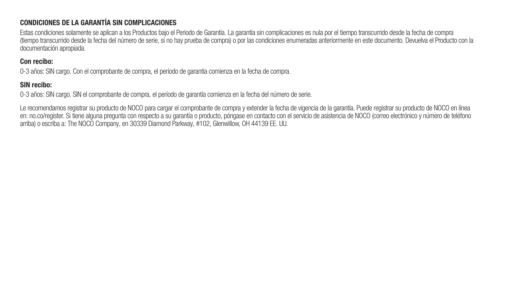# CONDICIONES DE LA GARANTÍA SIN COMPLICACIONES

Estas condiciones solamente se aplican a los Productos bajo el Periodo de Garantía. La garantía sin complicaciones es nula por el tiempo transcurrido desde la fecha de compra (tiempo transcurrido desde la fecha del número de serie, si no hay prueba de compra) o por las condiciones enumeradas anteriormente en este documento. Devuelva el Producto con la documentación apropiada.

### Con recibo:

0-3 años: SIN cargo. Con el comprobante de compra, el período de garantía comienza en la fecha de compra.

# SIN recibo:

0-3 años: SIN cargo. SIN el comprobante de compra, el período de garantía comienza en la fecha del número de serie.

Le recomendamos registrar su producto de NOCO para cargar el comprobante de compra y extender la fecha de vigencia de la garantía. Puede registrar su producto de NOCO en línea en: no.co/register. Si tiene alguna pregunta con respecto a su garantía o producto, póngase en contacto con el servicio de asistencia de NOCO (correo electrónico y número de teléfono arriba) o escriba a: The NOCO Company, en 30339 Diamond Parkway, #102, Glenwillow, OH 44139 EE. UU.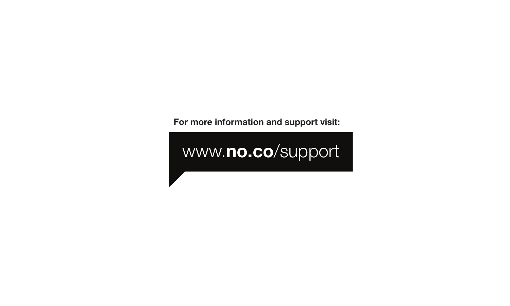For more information and support visit:

# www.no.co/support